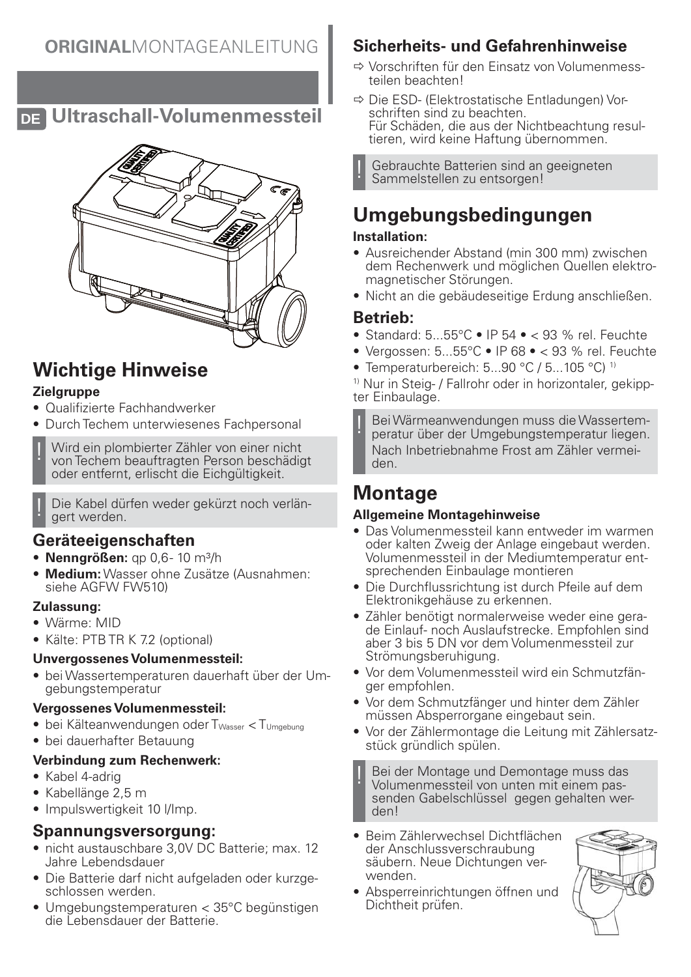**DE Ultraschall-Volumenmessteil**



# **Wichtige Hinweise**

### **Zielgruppe**

- Qualifizierte Fachhandwerker
- Durch Techem unterwiesenes Fachpersonal
- ! Wird ein plombierter Zähler von einer nicht von Techem beauftragten Person beschädigt oder entfernt, erlischt die Eichgültigkeit.

Die Kabel dürfen weder gekürzt noch verlängert werden.

## **Geräteeigenschaften**

- **Nenngrößen:** qp 0,6 10 m³/h
- **Medium:** Wasser ohne Zusätze (Ausnahmen: siehe AGFW FW510)

#### **Zulassung:**

- Wärme: MID
- Kälte: PTB TR K 7.2 (optional)

#### **Unvergossenes Volumenmessteil:**

• bei Wassertemperaturen dauerhaft über der Umgebungstemperatur

#### **Vergossenes Volumenmessteil:**

- bei Kälteanwendungen oder T<sub>Wasser</sub> < T<sub>Umgebung</sub>
- bei dauerhafter Betauung

#### **Verbindung zum Rechenwerk:**

- Kabel 4-adrig
- Kabellänge 2,5 m
- Impulswertigkeit 10 l/Imp.

### **Spannungsversorgung:**

- nicht austauschbare 3,0V DC Batterie; max. 12 Jahre Lebendsdauer
- Die Batterie darf nicht aufgeladen oder kurzgeschlossen werden.
- Umgebungstemperaturen < 35°C begünstigen die Lebensdauer der Batterie.

## **Sicherheits- und Gefahrenhinweise**

- Ö Vorschriften für den Einsatz von Volumenmessteilen beachten!
- Ö Die ESD- (Elektrostatische Entladungen) Vorschriften sind zu beachten. Für Schäden, die aus der Nichtbeachtung resultieren, wird keine Haftung übernommen.

Gebrauchte Batterien sind an geeigneten Sammelstellen zu entsorgen!

# **Umgebungsbedingungen**

### **Installation:**

- Ausreichender Abstand (min 300 mm) zwischen dem Rechenwerk und möglichen Quellen elektromagnetischer Störungen.
- Nicht an die gebäudeseitige Erdung anschließen.

## **Betrieb:**

- Standard: 5...55°C IP 54 < 93 % rel. Feuchte
- Vergossen: 5...55°C IP 68 < 93 % rel. Feuchte
- Temperaturbereich: 5...90 °C / 5...105 °C)<sup>1)</sup>

1) Nur in Steig- / Fallrohr oder in horizontaler, gekippter Einbaulage.

Bei Wärmeanwendungen muss die Wassertemperatur über der Umgebungstemperatur liegen. Nach Inbetriebnahme Frost am Zähler vermeiden.

## **Montage**

### **Allgemeine Montagehinweise**

- Das Volumenmessteil kann entweder im warmen oder kalten Zweig der Anlage eingebaut werden. Volumenmessteil in der Mediumtemperatur entsprechenden Einbaulage montieren
- Die Durchflussrichtung ist durch Pfeile auf dem Elektronikgehäuse zu erkennen.
- Zähler benötigt normalerweise weder eine gerade Einlauf- noch Auslaufstrecke. Empfohlen sind aber 3 bis 5 DN vor dem Volumenmessteil zur Strömungsberuhigung.
- Vor dem Volumenmessteil wird ein Schmutzfänger empfohlen.
- Vor dem Schmutzfänger und hinter dem Zähler müssen Absperrorgane eingebaut sein.
- Vor der Zählermontage die Leitung mit Zählersatzstück gründlich spülen.

! Bei der Montage und Demontage muss das Volumenmessteil von unten mit einem passenden Gabelschlüssel gegen gehalten werden!

- Beim Zählerwechsel Dichtflächen der Anschlussverschraubung säubern. Neue Dichtungen verwenden.
- Absperreinrichtungen öffnen und Dichtheit prüfen.

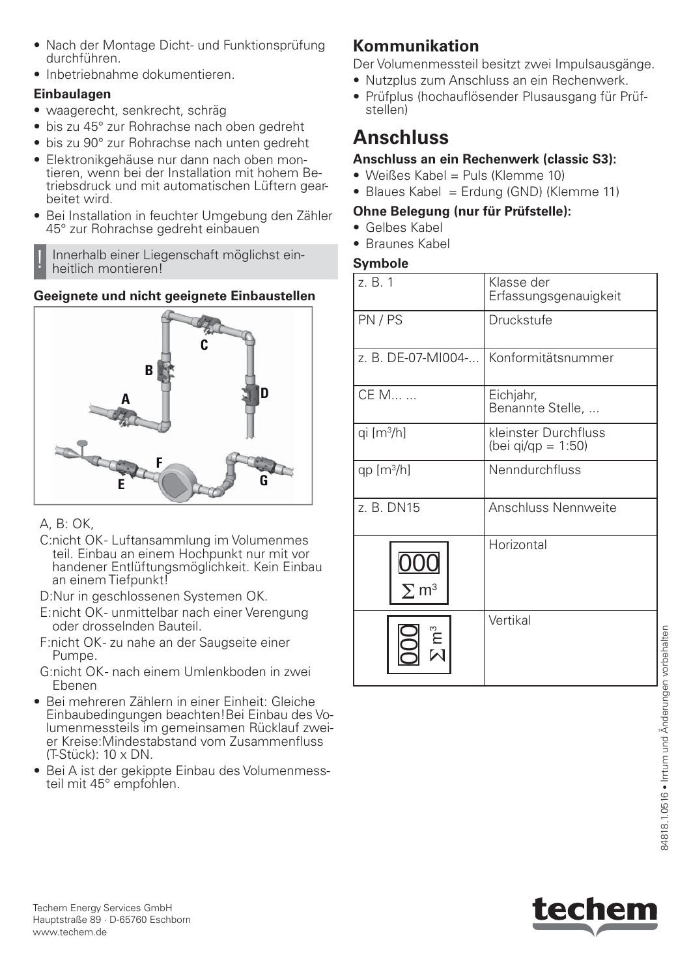- Nach der Montage Dicht- und Funktionsprüfung durchführen.
- Inbetriebnahme dokumentieren.

## **Einbaulagen**

- waagerecht, senkrecht, schräg
- bis zu 45° zur Rohrachse nach oben gedreht
- bis zu 90° zur Rohrachse nach unten gedreht
- Elektronikgehäuse nur dann nach oben montieren, wenn bei der Installation mit hohem Betriebsdruck und mit automatischen Lüftern gearbeitet wird.
- Bei Installation in feuchter Umgebung den Zähler 45° zur Rohrachse gedreht einbauen

! Innerhalb einer Liegenschaft möglichst einheitlich montieren!

## **Geeignete und nicht geeignete Einbaustellen**



### A, B: OK,

- C:nicht OK- Luftansammlung im Volumenmes teil. Einbau an einem Hochpunkt nur mit vor handener Entlüftungsmöglichkeit. Kein Einbau an einem Tiefpunkt!
- D:Nur in geschlossenen Systemen OK.
- E: nicht OK unmittelbar nach einer Verengung oder drosselnden Bauteil.
- F:nicht OK- zu nahe an der Saugseite einer Pumpe.
- G:nicht OK- nach einem Umlenkboden in zwei Ebenen
- Bei mehreren Zählern in einer Einheit: Gleiche Einbaubedingungen beachten!Bei Einbau des Volumenmessteils im gemeinsamen Rücklauf zweier Kreise:Mindestabstand vom Zusammenfluss (T-Stück): 10 x DN.
- Bei A ist der gekippte Einbau des Volumenmessteil mit 45° empfohlen.

# **Kommunikation**

Der Volumenmessteil besitzt zwei Impulsausgänge.

- Nutzplus zum Anschluss an ein Rechenwerk.
- Prüfplus (hochauflösender Plusausgang für Prüfstellen)

# **Anschluss**

## **Anschluss an ein Rechenwerk (classic S3):**

- Weißes Kabel = Puls (Klemme 10)
- Blaues Kabel = Erdung (GND) (Klemme 11)

### **Ohne Belegung (nur für Prüfstelle):**

- Gelbes Kabel
- Braunes Kabel

## **Symbole**

| z. B. 1                 | Klasse der<br>Erfassungsgenauigkeit        |
|-------------------------|--------------------------------------------|
| PN/PS                   | Druckstufe                                 |
| z. B. DE-07-MI004-      | Konformitätsnummer                         |
| CE M                    | Eichjahr,<br>Benannte Stelle,              |
| qi $[m3/h]$             | kleinster Durchfluss<br>(bei qi/qp = 1:50) |
| qp $[m^3/h]$            | Nenndurchfluss                             |
| z. B. DN15              | <b>Anschluss Nennweite</b>                 |
| $\Sigma$ m <sup>3</sup> | Horizontal                                 |
|                         | Vertikal                                   |

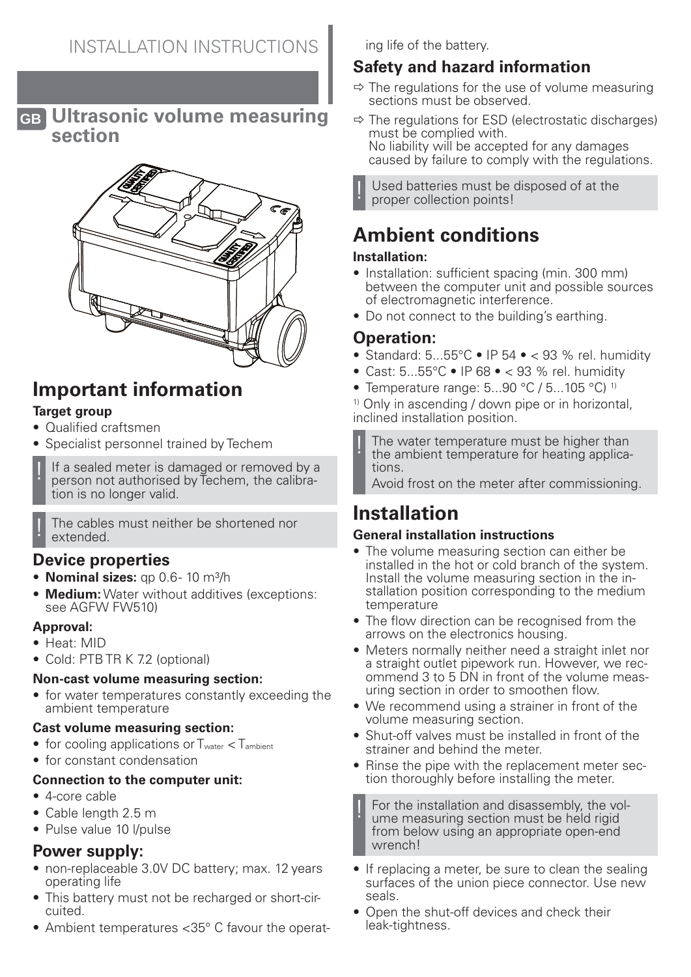**GB Ultrasonic volume measuring section**



# **Important information**

### **Target group**

- Qualified craftsmen
- Specialist personnel trained by Techem
- If a sealed meter is damaged or removed by a person not authorised by Techem, the calibration is no longer valid.

The cables must neither be shortened nor extended.

## **Device properties**

- **Nominal sizes:** qp 0.6-10 m<sup>3</sup>/h
- **Medium:** Water without additives (exceptions: see AGFW FW510)

#### **Approval:**

- Heat: MID
- Cold: PTB TR K 7.2 (optional)

#### **Non-cast volume measuring section:**

• for water temperatures constantly exceeding the ambient temperature

#### **Cast volume measuring section:**

- for cooling applications or  $T_{water} < T_{ambient}$
- for constant condensation

### **Connection to the computer unit:**

- 4-core cable
- Cable length 2.5 m
- Pulse value 10 l/pulse

### **Power supply:**

- non-replaceable 3.0V DC battery; max. 12 years operating life
- This battery must not be recharged or short-circuited.
- Ambient temperatures <35° C fayour the operat-

ing life of the battery.

## **Safety and hazard information**

- $\Rightarrow$  The regulations for the use of volume measuring sections must be observed.
- $\Rightarrow$  The regulations for ESD (electrostatic discharges) must be complied with. No liability will be accepted for any damages caused by failure to comply with the regulations.

Used batteries must be disposed of at the proper collection points!

# **Ambient conditions**

### **Installation:**

- Installation: sufficient spacing (min. 300 mm) between the computer unit and possible sources of electromagnetic interference.
- Do not connect to the building's earthing.

## **Operation:**

- Standard:  $5...55^{\circ}$ C IP  $54 \cdot 93$  % rel. humidity
- Cast: 5...55°C IP 68 < 93 % rel. humidity
- Temperature range: 5...90 °C / 5...105 °C)<sup>1)</sup>

<sup>1)</sup> Only in ascending / down pipe or in horizontal, inclined installation position.

The water temperature must be higher than the ambient temperature for heating applications.

Avoid frost on the meter after commissioning.

# **Installation**

### **General installation instructions**

- The volume measuring section can either be installed in the hot or cold branch of the system. Install the volume measuring section in the installation position corresponding to the medium temperature
- The flow direction can be recognised from the arrows on the electronics housing.
- Meters normally neither need a straight inlet nor a straight outlet pipework run. However, we recommend 3 to 5 DN in front of the volume measuring section in order to smoothen flow.
- We recommend using a strainer in front of the volume measuring section.
- Shut-off valves must be installed in front of the strainer and behind the meter.
- Rinse the pipe with the replacement meter section thoroughly before installing the meter.

For the installation and disassembly, the volume measuring section must be held rigid from below using an appropriate open-end wrench!

- If replacing a meter, be sure to clean the sealing surfaces of the union piece connector. Use new seals.
- Open the shut-off devices and check their leak-tightness.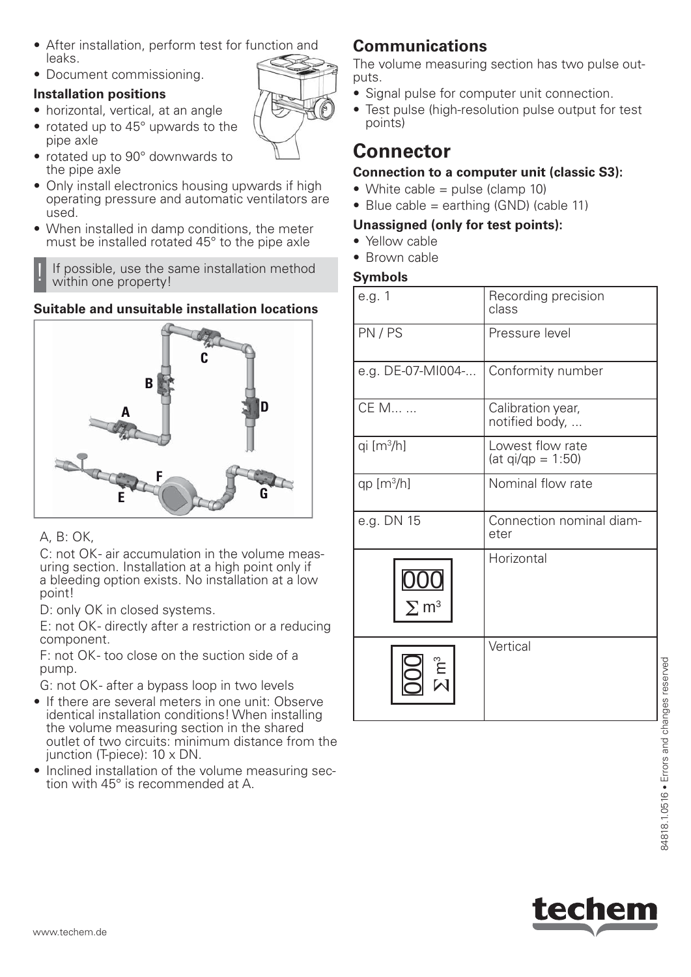- After installation, perform test for function and leaks.
- Document commissioning.

### **Installation positions**

- horizontal, vertical, at an angle
- rotated up to 45° upwards to the pipe axle
- rotated up to 90° downwards to the pipe axle
- Only install electronics housing upwards if high operating pressure and automatic ventilators are used.
- When installed in damp conditions, the meter must be installed rotated 45° to the pipe axle

If possible, use the same installation method within one property!

## **Suitable and unsuitable installation locations**



### A, B: OK,

C: not OK- air accumulation in the volume measuring section. Installation at a high point only if a bleeding option exists. No installation at a low point!

D: only OK in closed systems.

E: not OK- directly after a restriction or a reducing component.

F: not OK- too close on the suction side of a pump.

G: not OK- after a bypass loop in two levels

- If there are several meters in one unit: Observe identical installation conditions! When installing the volume measuring section in the shared outlet of two circuits: minimum distance from the junction (T-piece): 10 x DN.
- Inclined installation of the volume measuring section with 45° is recommended at A.

## **Communications**

The volume measuring section has two pulse outputs.

- Signal pulse for computer unit connection.
- Test pulse (high-resolution pulse output for test points)

## **Connector**

### **Connection to a computer unit (classic S3):**

- White cable  $=$  pulse (clamp 10)
- Blue cable = earthing  $(GND)$  (cable 11)

### **Unassigned (only for test points):**

- Yellow cable
- Brown cable

### **Symbols**

| e.g. 1                  | Recording precision<br>class            |
|-------------------------|-----------------------------------------|
| PN/PS                   | Pressure level                          |
| e.g. DE-07-MI004-       | Conformity number                       |
| CE M                    | Calibration year,<br>notified body,     |
| qi [m <sup>3</sup> /h]  | Lowest flow rate<br>$(at qi/qp = 1:50)$ |
| qp $[m3/h]$             | Nominal flow rate                       |
| e.g. DN 15              | Connection nominal diam-<br>eter        |
| $\Sigma$ m <sup>3</sup> | Horizontal                              |
|                         | Vertical                                |

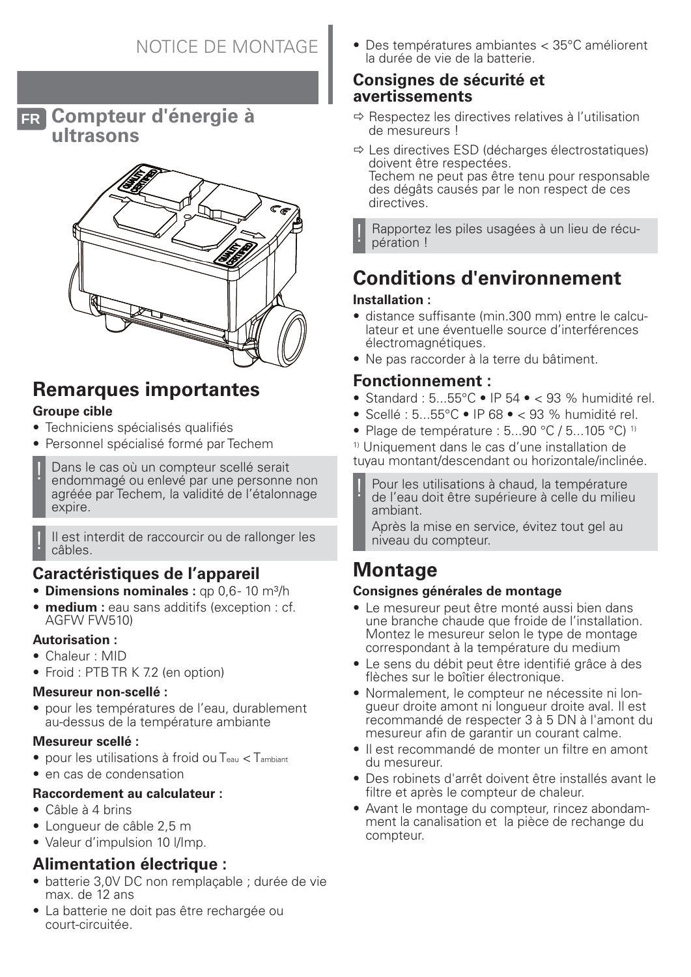**FR Compteur d'énergie à ultrasons**



## **Remarques importantes Groupe cible**

- Techniciens spécialisés qualifiés
- Personnel spécialisé formé par Techem
- Dans le cas où un compteur scellé serait endommagé ou enlevé par une personne non agréée par Techem, la validité de l'étalonnage expire.

Il est interdit de raccourcir ou de rallonger les câbles.

## **Caractéristiques de l'appareil**

- **Dimensions nominales**: qp 0.6-10 m<sup>3</sup>/h
- **medium :** eau sans additifs (exception : cf. AGFW FW510)

### **Autorisation :**

- Chaleur : MID
- Froid: PTB TR K 7.2 (en option)

#### **Mesureur non-scellé :**

• pour les températures de l'eau, durablement au-dessus de la température ambiante

#### **Mesureur scellé :**

- pour les utilisations à froid ou Teau < Tambiant
- en cas de condensation

#### **Raccordement au calculateur :**

- Câble à 4 brins
- Longueur de câble 2,5 m
- Valeur d'impulsion 10 l/Imp.

## **Alimentation électrique :**

- batterie 3,0V DC non remplaçable ; durée de vie max. de 12 ans
- La batterie ne doit pas être rechargée ou court-circuitée.

• Des températures ambiantes < 35°C améliorent la durée de vie de la batterie.

### **Consignes de sécurité et avertissements**

- $\Rightarrow$  Respectez les directives relatives à l'utilisation de mesureurs !
- $\Rightarrow$  Les directives ESD (décharges électrostatiques) doivent être respectées. Techem ne peut pas être tenu pour responsable des dégâts causés par le non respect de ces directives.

Rapportez les piles usagées à un lieu de récupération !

# **Conditions d'environnement**

#### **Installation :**

- distance suffisante (min.300 mm) entre le calculateur et une éventuelle source d'interférences électromagnétiques.
- Ne pas raccorder à la terre du bâtiment.

## **Fonctionnement :**

- Standard :  $5...55^{\circ}$ C IP  $54 \cdot 93$  % humidité rel.
- Scellé : 5...55°C IP 68 < 93 % humidité rel.
- Plage de température :  $5...90$  °C /  $5...105$  °C) <sup>1)</sup>

1) Uniquement dans le cas d'une installation de tuyau montant/descendant ou horizontale/inclinée.

Pour les utilisations à chaud, la température de l'eau doit être supérieure à celle du milieu ambiant.

Après la mise en service, évitez tout gel au niveau du compteur.

## **Montage**

### **Consignes générales de montage**

- Le mesureur peut être monté aussi bien dans une branche chaude que froide de l'installation. Montez le mesureur selon le type de montage correspondant à la température du medium
- Le sens du débit peut être identifié grâce à des flèches sur le boîtier électronique.
- Normalement, le compteur ne nécessite ni longueur droite amont ni longueur droite aval. Il est recommandé de respecter 3 à 5 DN à l'amont du mesureur afin de garantir un courant calme.
- Il est recommandé de monter un filtre en amont du mesureur.
- Des robinets d'arrêt doivent être installés avant le filtre et après le compteur de chaleur.
- Avant le montage du compteur, rincez abondamment la canalisation et la pièce de rechange du compteur.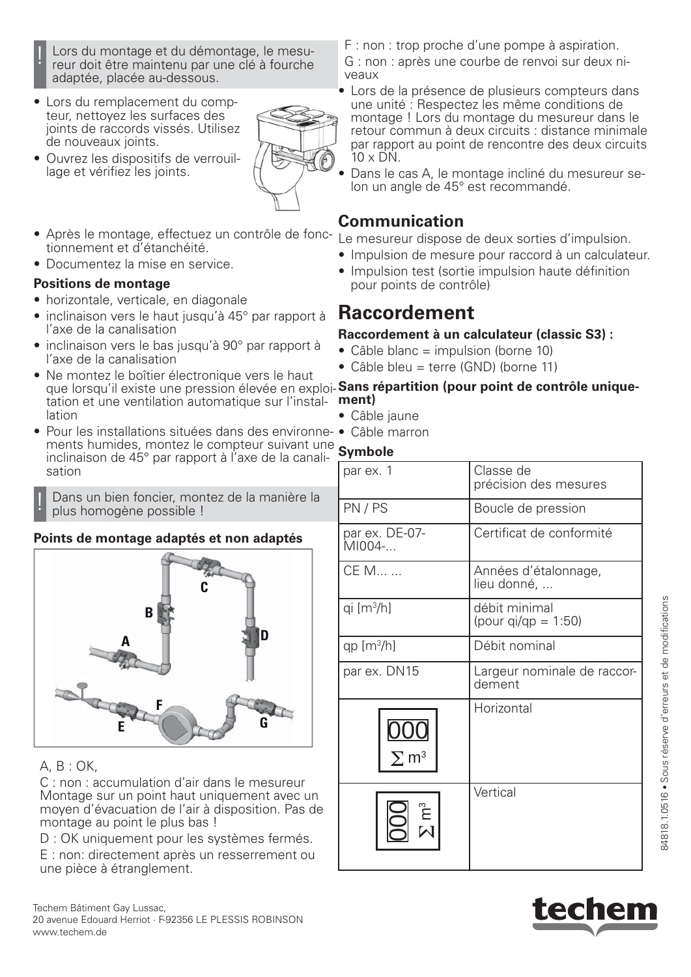- Lors du montage et du démontage, le mesureur doit être maintenu par une clé à fourche adaptée, placée au-dessous.
- Lors du remplacement du compteur, nettoyez les surfaces des joints de raccords vissés. Utilisez de nouveaux joints.
- Ouvrez les dispositifs de verrouillage et vérifiez les joints.
- 
- Après le montage, effectuez un contrôle de fonctionnement et d'étanchéité.
- Documentez la mise en service.

#### **Positions de montage**

- horizontale, verticale, en diagonale
- inclinaison vers le haut jusqu'à 45° par rapport à l'axe de la canalisation
- inclinaison vers le bas jusqu'à 90° par rapport à l'axe de la canalisation
- Ne montez le boîtier électronique vers le haut tation et une ventilation automatique sur l'installation
- Pour les installations situées dans des environne-• Câble marron ments humides, montez le compteur suivant une inclinaison de 45° par rapport à l'axe de la canalisation

Dans un bien foncier, montez de la manière la plus homogène possible !

### **Points de montage adaptés et non adaptés**



### A, B : OK,

C : non : accumulation d'air dans le mesureur Montage sur un point haut uniquement avec un moyen d'évacuation de l'air à disposition. Pas de montage au point le plus bas !

D : OK uniquement pour les systèmes fermés.

E : non: directement après un resserrement ou une pièce à étranglement.

F : non : trop proche d'une pompe à aspiration.

G : non : après une courbe de renvoi sur deux niveaux

- Lors de la présence de plusieurs compteurs dans une unité : Respectez les même conditions de montage ! Lors du montage du mesureur dans le retour commun à deux circuits : distance minimale par rapport au point de rencontre des deux circuits 10 x DN.
- Dans le cas A, le montage incliné du mesureur selon un angle de 45° est recommandé.

## **Communication**

Le mesureur dispose de deux sorties d'impulsion.

- Impulsion de mesure pour raccord à un calculateur.
- Impulsion test (sortie impulsion haute définition pour points de contrôle)

## **Raccordement**

### **Raccordement à un calculateur (classic S3) :**

- $\bullet$  Câble blanc = impulsion (borne 10)
- Câble bleu = terre (GND) (borne 11)

#### que lorsqu'il existe une pression élevée en exploi-**Sans répartition (pour point de contrôle uniquement)**

- Câble jaune
- 

### **Symbole**

| par ex. 1                | Classe de<br>précision des mesures         |
|--------------------------|--------------------------------------------|
| PN/PS                    | Boucle de pression                         |
| par ex. DE-07-<br>MI004- | Certificat de conformité                   |
| CE M                     | Années d'étalonnage,<br>lieu donné,        |
| qi [m <sup>3</sup> /h]   | débit minimal<br>(pour $q_{i}/qp = 1:50$ ) |
| qp $[m^3/h]$             | Débit nominal                              |
| par ex. DN15             | Largeur nominale de raccor-<br>dement      |
| $\Sigma$ m <sup>3</sup>  | Horizontal                                 |
| ີ $\sum_{n=1}^{\infty}$  | Vertical                                   |



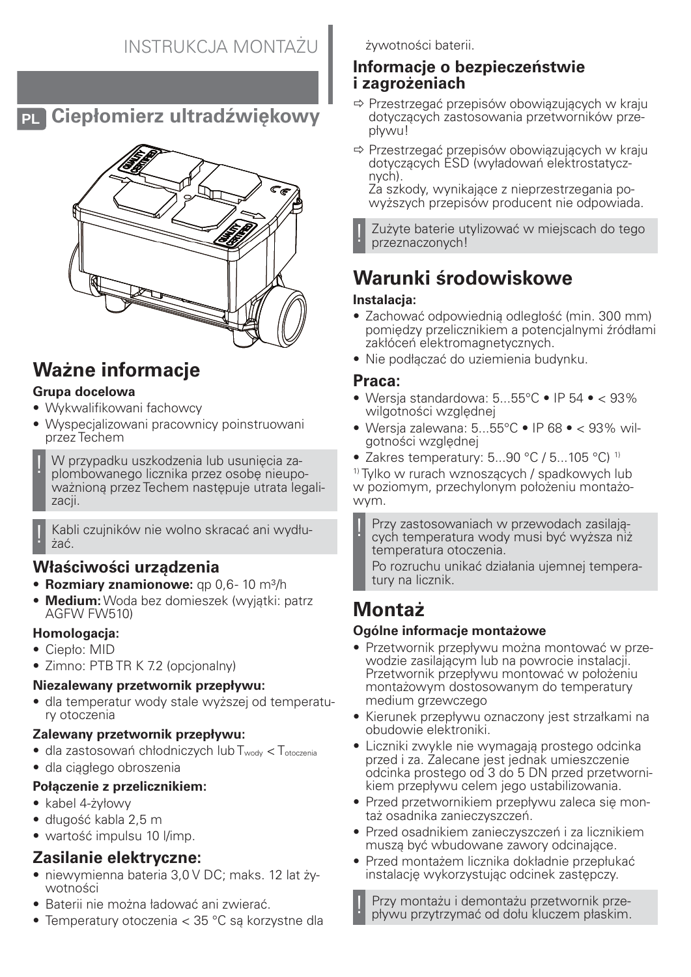# **PL Ciepłomierz ultradźwiękowy**



# **Ważne informacje**

### **Grupa docelowa**

- Wykwalifikowani fachowcy
- Wyspecjalizowani pracownicy poinstruowani przez Techem
- ! W przypadku uszkodzenia lub usunięcia zaplombowanego licznika przez osobę nieupoważnioną przez Techem następuje utrata legalizacji.

! Kabli czujników nie wolno skracać ani wydłużać.

## **Właściwości urządzenia**

- **Rozmiary znamionowe:** qp 0,6-10 m<sup>3</sup>/h
- **Medium:** Woda bez domieszek (wyjątki: patrz AGFW FW510)

### **Homologacja:**

- Ciepło: MID
- Zimno: PTB TR K 7.2 (opcjonalny)

## **Niezalewany przetwornik przepływu:**

• dla temperatur wody stale wyższej od temperatury otoczenia

### **Zalewany przetwornik przepływu:**

- dla zastosowań chłodniczych lub Twody < Totoczenia
- dla ciągłego obroszenia

### **Połączenie z przelicznikiem:**

- kabel 4-żyłowy
- długość kabla 2,5 m
- wartość impulsu 10 l/imp.

## **Zasilanie elektryczne:**

- niewymienna bateria 3,0 V DC; maks. 12 lat żywotności
- Baterii nie można ładować ani zwierać.
- Temperatury otoczenia < 35 °C są korzystne dla

żywotności baterii.

## **Informacje o bezpieczeństwie i zagrożeniach**

- $\Rightarrow$  Przestrzegać przepisów obowiązujących w kraju dotyczących zastosowania przetworników przepływu!
- $\Rightarrow$  Przestrzegać przepisów obowiązujących w kraju dotyczących ESD (wyładowań elektrostatycznych).

Za szkody, wynikające z nieprzestrzegania powyższych przepisów producent nie odpowiada.

Zużyte baterie utylizować w miejscach do tego przeznaczonych!

# **Warunki środowiskowe**

### **Instalacja:**

- Zachować odpowiednią odległość (min. 300 mm) pomiędzy przelicznikiem a potencjalnymi źródłami zakłóceń elektromagnetycznych.
- Nie podłączać do uziemienia budynku.

## **Praca:**

- Wersia standardowa:  $5...55^{\circ}$ C IP  $54$  <  $93\%$ wilgotności względnej
- Wersia zalewana:  $5...55^{\circ}$ C IP 68 < 93% wilgotności względnej
- Zakres temperatury: 5...90 °C / 5...105 °C)<sup>1)</sup>

1) Tylko w rurach wznoszących / spadkowych lub w poziomym, przechylonym położeniu montażowym.

! Przy zastosowaniach w przewodach zasilających temperatura wody musi być wyższa niż temperatura otoczenia.

Po rozruchu unikać działania ujemnej temperatury na licznik.

# **Montaż**

## **Ogólne informacje montażowe**

- Przetwornik przepływu można montować w przewodzie zasilającym lub na powrocie instalacji. Przetwornik przepływu montować w położeniu montażowym dostosowanym do temperatury medium grzewczego
- Kierunek przepływu oznaczony jest strzałkami na obudowie elektroniki.
- Liczniki zwykle nie wymagają prostego odcinka przed i za. Zalecane jest jednak umieszczenie odcinka prostego od 3 do 5 DN przed przetwornikiem przepływu celem jego ustabilizowania.
- Przed przetwornikiem przepływu zaleca się montaż osadnika zanieczyszczeń.
- Przed osadnikiem zanieczyszczeń i za licznikiem muszą być wbudowane zawory odcinające.
- Przed montażem licznika dokładnie przepłukać instalację wykorzystując odcinek zastępczy.

! Przy montażu i demontażu przetwornik przepływu przytrzymać od dołu kluczem płaskim.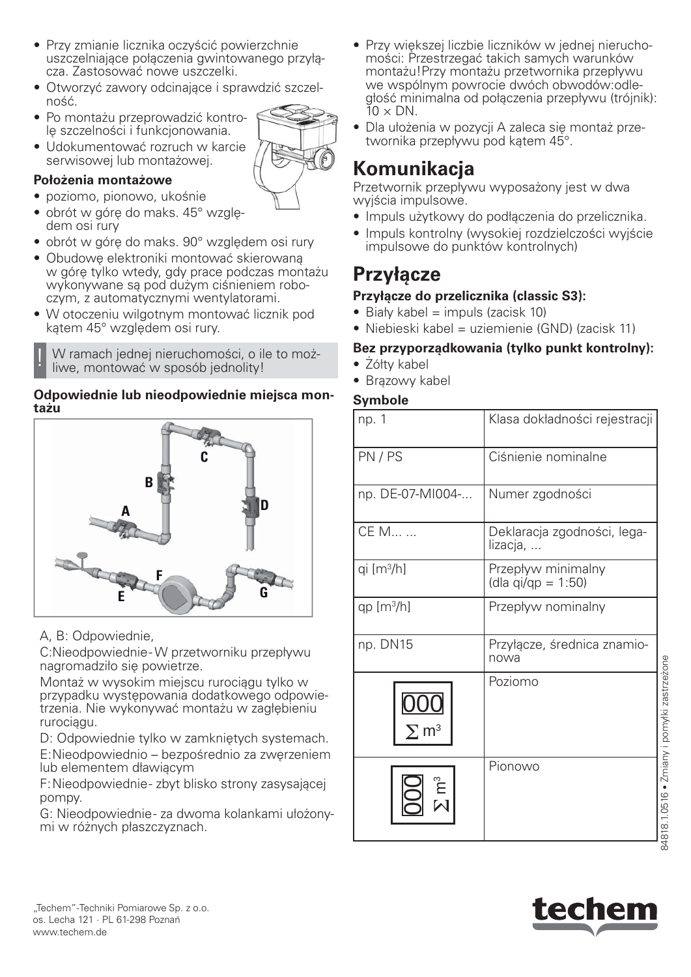- Udokumentować rozruch w karcie serwisowej lub montażowej. **Położenia montażowe**
	- poziomo, pionowo, ukośnie

ność.

- obrót w górę do maks. 45° względem osi rury
- obrót w górę do maks. 90° względem osi rury

• Przy zmianie licznika oczyścić powierzchnie

cza. Zastosować nowe uszczelki.

lę szczelności i funkcjonowania.

uszczelniające połączenia gwintowanego przyłą-

• Otworzyć zawory odcinające i sprawdzić szczel-

- Obudowę elektroniki montować skierowaną w górę tylko wtedy, gdy prace podczas montażu wykonywane są pod dużym ciśnieniem roboczym, z automatycznymi wentylatorami.
- W otoczeniu wilgotnym montować licznik pod kątem 45° względem osi rury.

W ramach jednej nieruchomości, o ile to możliwe, montować w sposób jednolity!

#### **Odpowiednie lub nieodpowiednie miejsca montażu**



A, B: Odpowiednie,

C:Nieodpowiednie - W przetworniku przepływu nagromadziło się powietrze.

Montaż w wysokim miejscu rurociągu tylko w przypadku występowania dodatkowego odpowietrzenia. Nie wykonywać montażu w zagłębieniu rurociągu.

D: Odpowiednie tylko w zamkniętych systemach. E: Nieodpowiednio – bezpośrednio za zwęrzeniem lub elementem dławiącym

F: Nieodpowiednie - zbyt blisko strony zasysającej pompy.

G: Nieodpowiednie - za dwoma kolankami ułożonymi w różnych płaszczyznach.

- Przy większej liczbie liczników w jednej nieruchomości: Przestrzegać takich samych warunków montażu!Przy montażu przetwornika przepływu we wspólnym powrocie dwóch obwodów:odległość minimalna od połączenia przepływu (trójnik):  $10 \times DN$ .
- Dla ułożenia w pozycji A zaleca się montaż przetwornika przepływu pod kątem 45°.

## **Komunikacja**

Przetwornik przepływu wyposażony jest w dwa wyjścia impulsowe.

- Impuls użytkowy do podłączenia do przelicznika.
- Impuls kontrolny (wysokiej rozdzielczości wyjście impulsowe do punktów kontrolnych)

## **Przyłącze**

### **Przyłącze do przelicznika (classic S3):**

- $\bullet$  Biały kabel = impuls (zacisk 10)
- Niebieski kabel = uziemienie (GND) (zacisk 11)

### **Bez przyporządkowania (tylko punkt kontrolny):**

- Żółty kabel
- Brązowy kabel

### **Symbole**

| np. 1                   | Klasa dokładności rejestracji            |
|-------------------------|------------------------------------------|
| PN/PS                   | Ciśnienie nominalne                      |
| np. DE-07-MI004-        | Numer zgodności                          |
| CE M                    | Deklaracja zgodności, lega-<br>lizacja,  |
| qi $[m3/h]$             | Przepływ minimalny<br>(dla qi/qp = 1:50) |
| qp $[m^3/h]$            | Przepływ nominalny                       |
| np. DN15                | Przyłącze, średnica znamio-<br>nowa      |
| $\Sigma$ m <sup>3</sup> | Poziomo                                  |
| $\sum_{i=1}^{n}$        | Pionowo                                  |



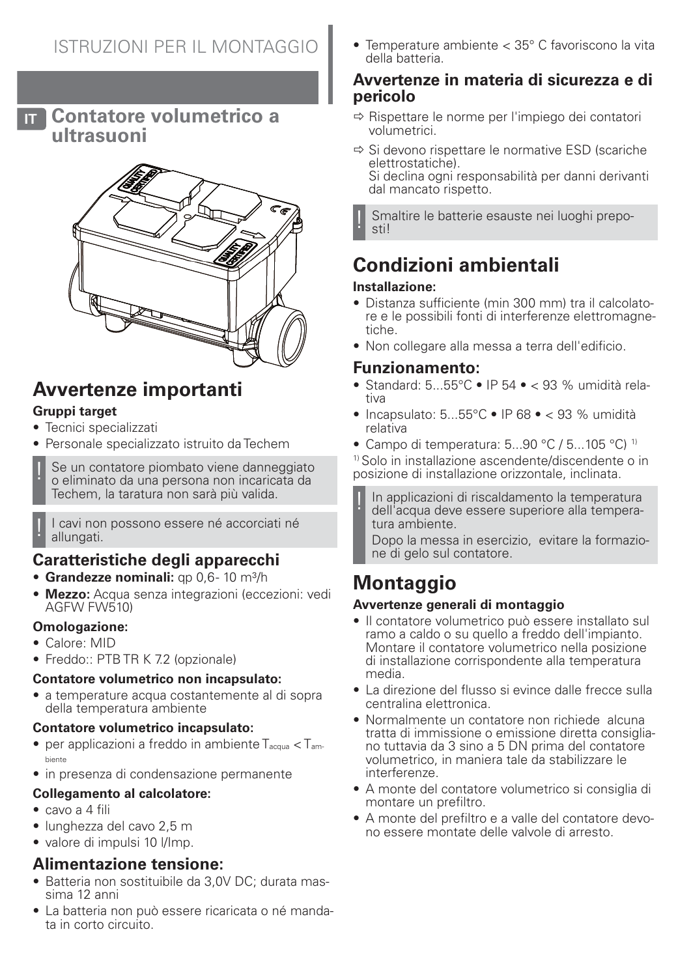**IT Contatore volumetrico a ultrasuoni**



# **Avvertenze importanti**

### **Gruppi target**

- Tecnici specializzati
- Personale specializzato istruito da Techem

Se un contatore piombato viene danneggiato o eliminato da una persona non incaricata da Techem, la taratura non sarà più valida.

I cavi non possono essere né accorciati né allungati.

## **Caratteristiche degli apparecchi**

- **Grandezze nominali:** qp 0,6-10 m<sup>3</sup>/h
- **Mezzo:** Acqua senza integrazioni (eccezioni: vedi AGFW FW510)

#### **Omologazione:**

- Calore: MID
- Freddo:: PTB TR K 7.2 (opzionale)

### **Contatore volumetrico non incapsulato:**

• a temperature acqua costantemente al di sopra della temperatura ambiente

### **Contatore volumetrico incapsulato:**

- per applicazioni a freddo in ambiente  $T_{\text{acqua}} < T_{\text{am}}$ biente
- in presenza di condensazione permanente

#### **Collegamento al calcolatore:**

- cavo a 4 fili
- lunghezza del cavo 2,5 m
- valore di impulsi 10 l/Imp.

## **Alimentazione tensione:**

- Batteria non sostituibile da 3,0V DC; durata massima 12 anni
- La batteria non può essere ricaricata o né mandata in corto circuito.

• Temperature ambiente < 35° C favoriscono la vita della batteria.

### **Avvertenze in materia di sicurezza e di pericolo**

- $\Rightarrow$  Rispettare le norme per l'impiego dei contatori volumetrici.
- $\Rightarrow$  Si devono rispettare le normative ESD (scariche elettrostatiche). Si declina ogni responsabilità per danni derivanti dal mancato rispetto.

Smaltire le batterie esauste nei luoghi preposti!

# **Condizioni ambientali**

### **Installazione:**

- Distanza sufficiente (min 300 mm) tra il calcolatore e le possibili fonti di interferenze elettromagnetiche.
- Non collegare alla messa a terra dell'edificio.

## **Funzionamento:**

- Standard:  $5...55^{\circ}$ C IP 54 < 93 % umidità relativa
- Incapsulato:  $5...55^{\circ}$ C IP 68 < 93 % umidità relativa
- Campo di temperatura: 5...90 °C / 5...105 °C) <sup>1)</sup>

1) Solo in installazione ascendente/discendente o in posizione di installazione orizzontale, inclinata.

In applicazioni di riscaldamento la temperatura dell'acqua deve essere superiore alla temperatura ambiente.

Dopo la messa in esercizio, evitare la formazione di gelo sul contatore.

# **Montaggio**

### **Avvertenze generali di montaggio**

- Il contatore volumetrico può essere installato sul ramo a caldo o su quello a freddo dell'impianto. Montare il contatore volumetrico nella posizione di installazione corrispondente alla temperatura media.
- La direzione del flusso si evince dalle frecce sulla centralina elettronica.
- Normalmente un contatore non richiede alcuna tratta di immissione o emissione diretta consigliano tuttavia da 3 sino a 5 DN prima del contatore volumetrico, in maniera tale da stabilizzare le interferenze.
- A monte del contatore volumetrico si consiglia di montare un prefiltro.
- A monte del prefiltro e a valle del contatore devono essere montate delle valvole di arresto.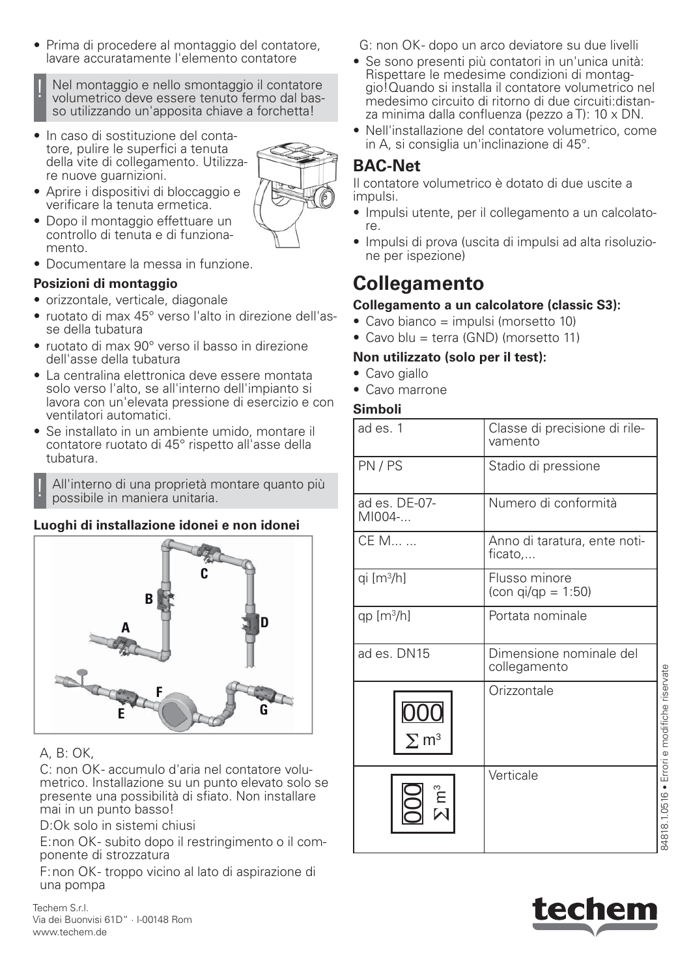• Prima di procedere al montaggio del contatore, lavare accuratamente l'elemento contatore

Nel montaggio e nello smontaggio il contatore volumetrico deve essere tenuto fermo dal basso utilizzando un'apposita chiave a forchetta!

• In caso di sostituzione del contatore, pulire le superfici a tenuta della vite di collegamento. Utilizzare nuove guarnizioni.



- Aprire i dispositivi di bloccaggio e verificare la tenuta ermetica.
- Dopo il montaggio effettuare un controllo di tenuta e di funzionamento.
- Documentare la messa in funzione.

#### **Posizioni di montaggio**

- orizzontale, verticale, diagonale
- ruotato di max 45° verso l'alto in direzione dell'asse della tubatura
- ruotato di max 90° verso il basso in direzione dell'asse della tubatura
- La centralina elettronica deve essere montata solo verso l'alto, se all'interno dell'impianto si lavora con un'elevata pressione di esercizio e con ventilatori automatici.
- Se installato in un ambiente umido, montare il contatore ruotato di 45° rispetto all'asse della tubatura.

! All'interno di una proprietà montare quanto più possibile in maniera unitaria.

### **Luoghi di installazione idonei e non idonei**



## A, B: OK,

C: non OK- accumulo d'aria nel contatore volumetrico. Installazione su un punto elevato solo se presente una possibilità di sfiato. Non installare mai in un punto basso!

D:Ok solo in sistemi chiusi

E: non OK - subito dopo il restringimento o il componente di strozzatura

F: non OK - troppo vicino al lato di aspirazione di una pompa

Techem S.r.l. Via dei Buonvisi 61D" · I-00148 Rom www.techem.de

G: non OK- dopo un arco deviatore su due livelli

- Se sono presenti più contatori in un'unica unità: Rispettare le medesime condizioni di montaggio!Quando si installa il contatore volumetrico nel medesimo circuito di ritorno di due circuiti:distanza minima dalla confluenza (pezzo a T): 10 x DN.
- Nell'installazione del contatore volumetrico, come in A, si consiglia un'inclinazione di 45°.

## **BAC-Net**

Il contatore volumetrico è dotato di due uscite a impulsi.

- Impulsi utente, per il collegamento a un calcolatore.
- Impulsi di prova (uscita di impulsi ad alta risoluzione per ispezione)

## **Collegamento**

### **Collegamento a un calcolatore (classic S3):**

- Cavo bianco = impulsi (morsetto 10)
- Cavo blu = terra (GND) (morsetto 11)

### **Non utilizzato (solo per il test):**

- Cavo giallo
- Cavo marrone

### **Simboli**

| ad es. 1                | Classe di precisione di rile-<br>vamento                |                                             |
|-------------------------|---------------------------------------------------------|---------------------------------------------|
| PN/PS                   | Stadio di pressione                                     |                                             |
| ad es. DE-07-<br>MI004- | Numero di conformità                                    |                                             |
| CE M                    | Anno di taratura, ente noti-<br>ficato,                 |                                             |
| qi $[m3/h]$             | Flusso minore<br>$\frac{\text{con q}}{\text{q}} = 1:50$ |                                             |
| qp $[m3/h]$             | Portata nominale                                        |                                             |
| ad es. DN15             | Dimensione nominale del<br>collegamento                 |                                             |
| $\Sigma$ m <sup>3</sup> | Orizzontale                                             |                                             |
|                         | Verticale                                               | 84818.1.0516 • Errori e modifiche riservate |

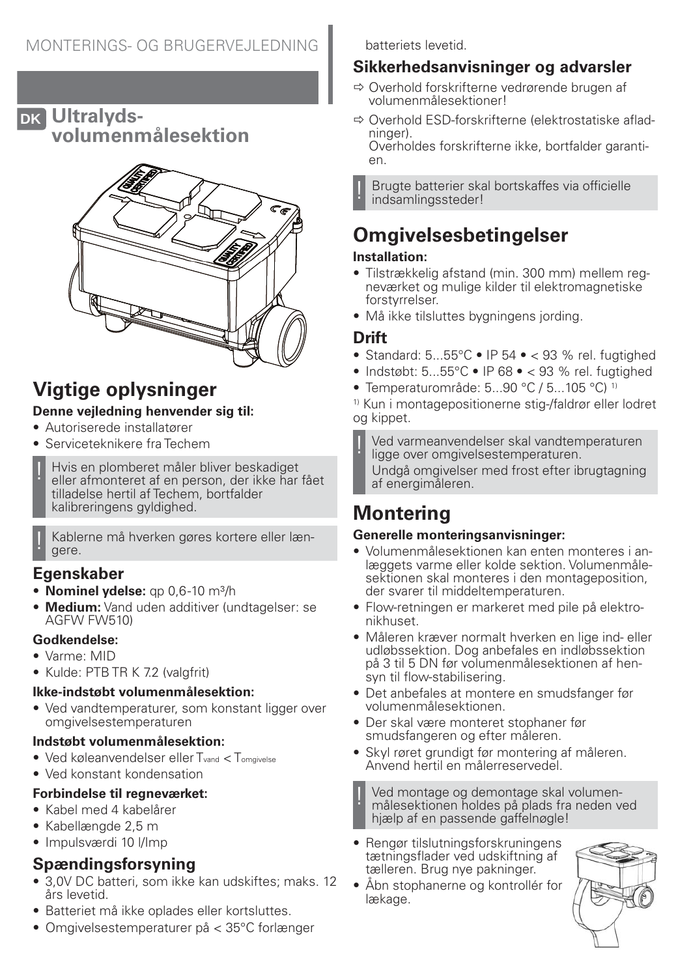## **DK Ultralydsvolumenmålesektion**



# **Vigtige oplysninger**

### **Denne vejledning henvender sig til:**

- Autoriserede installatører
- Serviceteknikere fra Techem
- ! Hvis en plomberet måler bliver beskadiget eller afmonteret af en person, der ikke har fået tilladelse hertil af Techem, bortfalder kalibreringens gyldighed.

Kablerne må hverken gøres kortere eller længere.

## **Egenskaber**

- **Nominel vdelse:** ap 0.6-10 m<sup>3</sup>/h
- **Medium:** Vand uden additiver (undtagelser: se AGFW FW510)

### **Godkendelse:**

- Varme: MID
- Kulde: PTB TR K 7.2 (valgfrit)

### **Ikke-indstøbt volumenmålesektion:**

• Ved vandtemperaturer, som konstant ligger over omgivelsestemperaturen

### **Indstøbt volumenmålesektion:**

- Ved køleanvendelser eller T<sub>vand</sub> < T<sub>omgivelse</sub>
- Ved konstant kondensation

### **Forbindelse til regneværket:**

- Kabel med 4 kabelårer
- Kabellængde 2,5 m
- Impulsværdi 10 l/Imp

## **Spændingsforsyning**

- 3,0V DC batteri, som ikke kan udskiftes; maks. 12 års levetid.
- Batteriet må ikke oplades eller kortsluttes.
- Omgivelsestemperaturer på < 35°C forlænger

batteriets levetid.

## **Sikkerhedsanvisninger og advarsler**

- $\Rightarrow$  Overhold forskrifterne vedrørende brugen af volumenmålesektioner!
- $\Rightarrow$  Overhold ESD-forskrifterne (elektrostatiske afladninger).

Overholdes forskrifterne ikke, bortfalder garantien.

! Brugte batterier skal bortskaffes via officielle indsamlingssteder!

# **Omgivelsesbetingelser**

## **Installation:**

- Tilstrækkelig afstand (min. 300 mm) mellem regneværket og mulige kilder til elektromagnetiske forstyrrelser.
- Må ikke tilsluttes bygningens jording.

## **Drift**

- Standard:  $5...55^{\circ}$ C IP  $54 \cdot 93$  % rel. fugtighed
- Indstøbt:  $5...55^{\circ}$ C IP 68 < 93 % rel. fugtighed
- Temperaturområde: 5...90 °C / 5...105 °C) 1)

1) Kun i montagepositionerne stig-/faldrør eller lodret og kippet.

! Ved varmeanvendelser skal vandtemperaturen ligge over omgivelsestemperaturen. Undgå omgivelser med frost efter ibrugtagning af energimåleren.

# **Montering**

### **Generelle monteringsanvisninger:**

- Volumenmålesektionen kan enten monteres i anlæggets varme eller kolde sektion. Volumenmålesektionen skal monteres i den montageposition, der svarer til middeltemperaturen.
- Flow-retningen er markeret med pile på elektronikhuset.
- Måleren kræver normalt hverken en lige ind- eller udløbssektion. Dog anbefales en indløbssektion på 3 til 5 DN før volumenmålesektionen af hensyn til flow-stabilisering.
- Det anbefales at montere en smudsfanger før volumenmålesektionen.
- Der skal være monteret stophaner før smudsfangeren og efter måleren.
- Skyl røret grundigt før montering af måleren. Anvend hertil en målerreservedel.

Ved montage og demontage skal volumenmålesektionen holdes på plads fra neden ved hjælp af en passende gaffelnøgle!

- Rengør tilslutningsforskruningens tætningsflader ved udskiftning af tælleren. Brug nye pakninger.
- Åbn stophanerne og kontrollér for lækage.

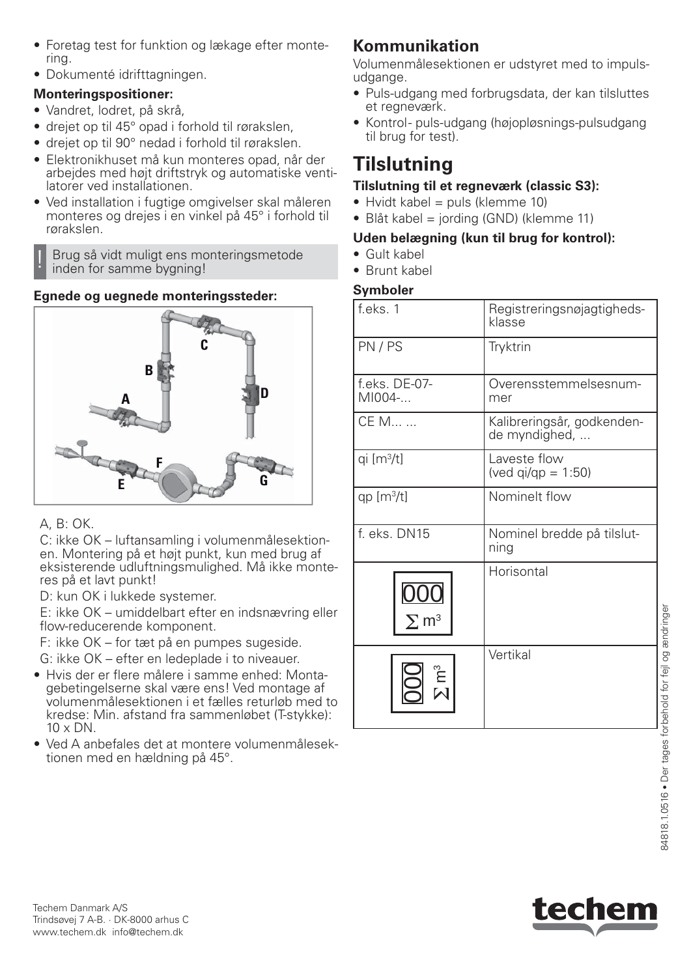- Foretag test for funktion og lækage efter montering.
- Dokumenté idrifttagningen.

### **Monteringspositioner:**

- Vandret, lodret, på skrå,
- drejet op til 45° opad i forhold til rørakslen,
- drejet op til 90° nedad i forhold til rørakslen.
- Elektronikhuset må kun monteres opad, når der arbejdes med højt driftstryk og automatiske ventilatorer ved installationen.
- Ved installation i fugtige omgivelser skal måleren monteres og drejes i en vinkel på 45° i forhold til rørakslen.

! Brug så vidt muligt ens monteringsmetode inden for samme bygning!

### **Egnede og uegnede monteringssteder:**



## A, B: OK.

C: ikke OK – luftansamling i volumenmålesektionen. Montering på et højt punkt, kun med brug af eksisterende udluftningsmulighed. Må ikke monteres på et lavt punkt!

D: kun OK i lukkede systemer.

E: ikke OK – umiddelbart efter en indsnævring eller flow-reducerende komponent.

F: ikke OK – for tæt på en pumpes sugeside.

G: ikke OK – efter en ledeplade i to niveauer.

- Hvis der er flere målere i samme enhed: Montagebetingelserne skal være ens! Ved montage af volumenmålesektionen i et fælles returløb med to kredse: Min. afstand fra sammenløbet (T-stykke):  $10 \times DN$ .
- Ved A anbefales det at montere volumenmålesektionen med en hældning på 45°.

## **Kommunikation**

Volumenmålesektionen er udstyret med to impulsudgange.

- Puls-udgang med forbrugsdata, der kan tilsluttes et regneværk.
- Kontrol- puls-udgang (højopløsnings-pulsudgang til brug for test).

# **Tilslutning**

### **Tilslutning til et regneværk (classic S3):**

- $\bullet$  Hvidt kabel = puls (klemme 10)
- Blåt kabel = jording (GND) (klemme 11)

## **Uden belægning (kun til brug for kontrol):**

- Gult kabel
- Brunt kabel

## **Symboler**

| f.eks. 1                | Registreringsnøjagtigheds-<br>klasse        |
|-------------------------|---------------------------------------------|
| PN/PS                   | Tryktrin                                    |
| f.eks. DE-07-<br>MI004- | Overensstemmelsesnum-<br>mer                |
| CE M                    | Kalibreringsår, godkenden-<br>de myndighed, |
| qi $[m3/t]$             | Laveste flow<br>(ved $qi/qp = 1:50$ )       |
| qp $[m^3/t]$            | Nominelt flow                               |
| f. eks. DN15            | Nominel bredde på tilslut-<br>ning          |
| $\Sigma$ m <sup>3</sup> | Horisontal                                  |
| ຼື<br>ເປີ               | Vertikal                                    |



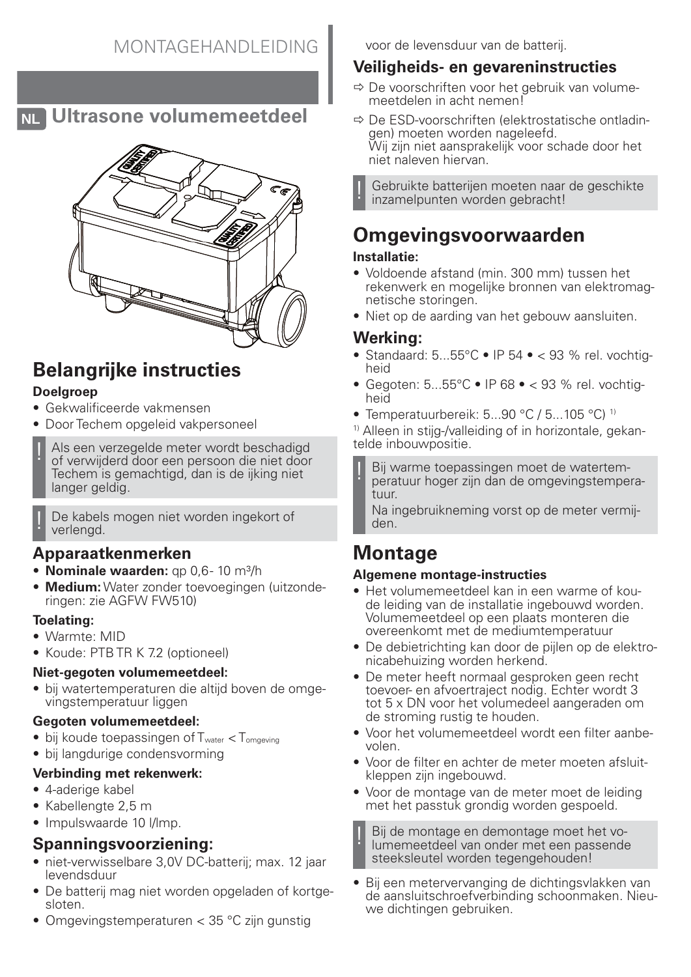### **Veiligheids- en gevareninstructies**

voor de levensduur van de batterij.

- $\Rightarrow$  De voorschriften voor het gebruik van volumemeetdelen in acht nemen!
- $\Rightarrow$  De ESD-voorschriften (elektrostatische ontladingen) moeten worden nageleefd. Wij zijn niet aansprakelijk voor schade door het niet naleven hiervan.

Gebruikte batterijen moeten naar de geschikte inzamelpunten worden gebracht!

# **Omgevingsvoorwaarden**

### **Installatie:**

- Voldoende afstand (min. 300 mm) tussen het rekenwerk en mogelijke bronnen van elektromagnetische storingen.
- Niet op de aarding van het gebouw aansluiten.

### **Werking:**

- Standaard:  $5...55^{\circ}$ C IP  $54 \bullet < 93$  % rel. vochtigheid
- Gegoten: 5...55°C IP 68 < 93 % rel. vochtigheid
- Temperatuurbereik: 5...90 °C / 5...105 °C)<sup>1)</sup>

<sup>1)</sup> Alleen in stijg-/valleiding of in horizontale, gekantelde inbouwpositie.

Bij warme toepassingen moet de watertemperatuur hoger zijn dan de omgevingstemperatuur.

Na ingebruikneming vorst op de meter vermijden.

## **Montage**

### **Algemene montage-instructies**

- Het volumemeetdeel kan in een warme of koude leiding van de installatie ingebouwd worden. Volumemeetdeel op een plaats monteren die overeenkomt met de mediumtemperatuur
- De debietrichting kan door de pijlen op de elektronicabehuizing worden herkend.
- De meter heeft normaal gesproken geen recht toevoer- en afvoertraject nodig. Echter wordt 3 tot 5 x DN voor het volumedeel aangeraden om de stroming rustig te houden.
- Voor het volumemeetdeel wordt een filter aanbevolen.
- Voor de filter en achter de meter moeten afsluitkleppen zijn ingebouwd.
- Voor de montage van de meter moet de leiding met het passtuk grondig worden gespoeld.

Bij de montage en demontage moet het volumemeetdeel van onder met een passende steeksleutel worden tegengehouden!

• Bij een metervervanging de dichtingsvlakken van de aansluitschroefverbinding schoonmaken. Nieuwe dichtingen gebruiken.

# **Belangrijke instructies**

### **Doelgroep**

- Gekwalificeerde vakmensen
- Door Techem opgeleid vakpersoneel
- Als een verzegelde meter wordt beschadigd of verwijderd door een persoon die niet door Techem is gemachtigd, dan is de ijking niet langer geldig.
	- De kabels mogen niet worden ingekort of verlengd.

## **Apparaatkenmerken**

- **Nominale waarden:** qp 0,6-10 m<sup>3</sup>/h
- **Medium:** Water zonder toevoegingen (uitzonderingen: zie AGFW FW510)

### **Toelating:**

- Warmte: MID
- Koude: PTB TR K 7.2 (optioneel)

### **Niet-gegoten volumemeetdeel:**

• bij watertemperaturen die altijd boven de omgevingstemperatuur liggen

### **Gegoten volumemeetdeel:**

- $\bullet$  bij koude toepassingen of  $T_{water} < T_{omgeving}$
- bij langdurige condensvorming

## **Verbinding met rekenwerk:**

- 4-aderige kabel
- Kabellengte 2,5 m
- Impulswaarde 10 I/Imp.

## **Spanningsvoorziening:**

- niet-verwisselbare 3,0V DC-batterij; max. 12 jaar levendsduur
- De batterij mag niet worden opgeladen of kortgesloten.
- Omgevingstemperaturen < 35 °C zijn gunstig



**NL Ultrasone volumemeetdeel**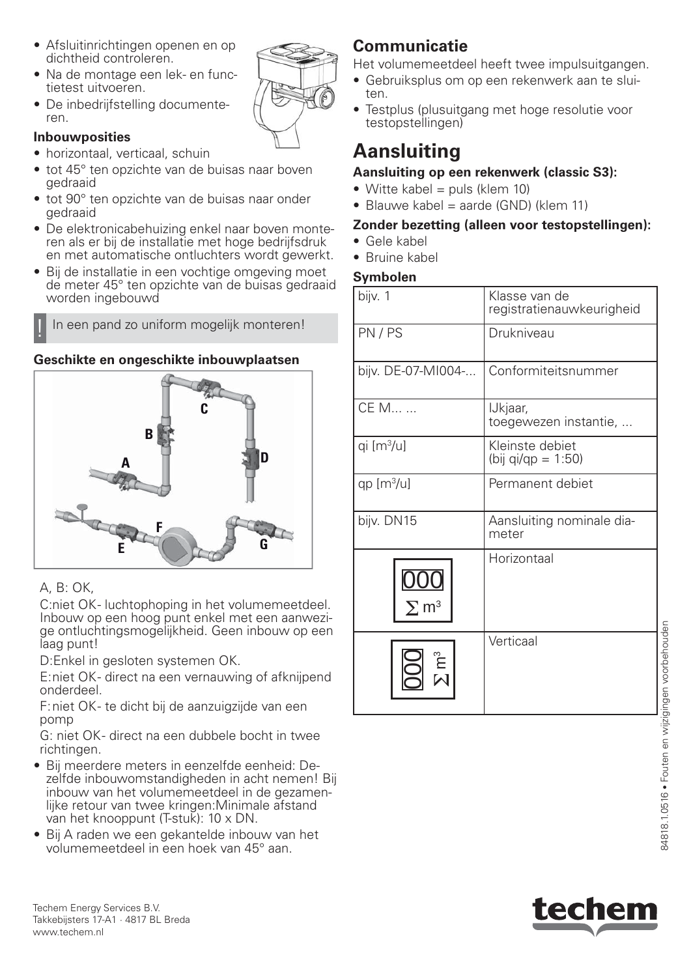- Afsluitinrichtingen openen en op dichtheid controleren.
- Na de montage een lek- en functietest uitvoeren.
- De inbedrijfstelling documenteren.

#### **Inbouwposities**

- horizontaal, verticaal, schuin
- tot 45° ten opzichte van de buisas naar boven gedraaid
- tot 90° ten opzichte van de buisas naar onder gedraaid
- De elektronicabehuizing enkel naar boven monteren als er bij de installatie met hoge bedrijfsdruk en met automatische ontluchters wordt gewerkt.
- Bij de installatie in een vochtige omgeving moet de meter 45° ten opzichte van de buisas gedraaid worden ingebouwd

In een pand zo uniform mogelijk monteren!

### **Geschikte en ongeschikte inbouwplaatsen**



### A, B: OK,

C:niet OK- luchtophoping in het volumemeetdeel. Inbouw op een hoog punt enkel met een aanwezige ontluchtingsmogelijkheid. Geen inbouw op een laag punt!

D:Enkel in gesloten systemen OK.

E: niet OK - direct na een vernauwing of afknijpend onderdeel.

F: niet OK - te dicht bij de aanzuigzijde van een pomp

G: niet OK- direct na een dubbele bocht in twee richtingen.

- Bij meerdere meters in eenzelfde eenheid: Dezelfde inbouwomstandigheden in acht nemen! Bij inbouw van het volumemeetdeel in de gezamenlijke retour van twee kringen:Minimale afstand van het knooppunt (T-stuk): 10 x DN.
- Bij A raden we een gekantelde inbouw van het volumemeetdeel in een hoek van 45° aan.

## **Communicatie**

Het volumemeetdeel heeft twee impulsuitgangen.

- Gebruiksplus om op een rekenwerk aan te sluiten.
- Testplus (plusuitgang met hoge resolutie voor testopstellingen)

# **Aansluiting**

### **Aansluiting op een rekenwerk (classic S3):**

- Witte kabel = puls (klem 10)
- Blauwe kabel = aarde (GND) (klem 11)

#### **Zonder bezetting (alleen voor testopstellingen):**

- Gele kabel
- Bruine kabel

### **Symbolen**

| bijv. 1                | Klasse van de<br>registratienauwkeurigheid |
|------------------------|--------------------------------------------|
| PN/PS                  | Drukniveau                                 |
| bijv. DE-07-MI004-     | Conformiteitsnummer                        |
| CE M                   | IJkjaar,<br>toegewezen instantie,          |
| qi [m <sup>3</sup> /u] | Kleinste debiet<br>(bij qi/qp = 1:50)      |
| qp $[m3/u]$            | Permanent debiet                           |
| bijv. DN15             | Aansluiting nominale dia-<br>meter         |
|                        | Horizontaal                                |
|                        | Verticaal                                  |



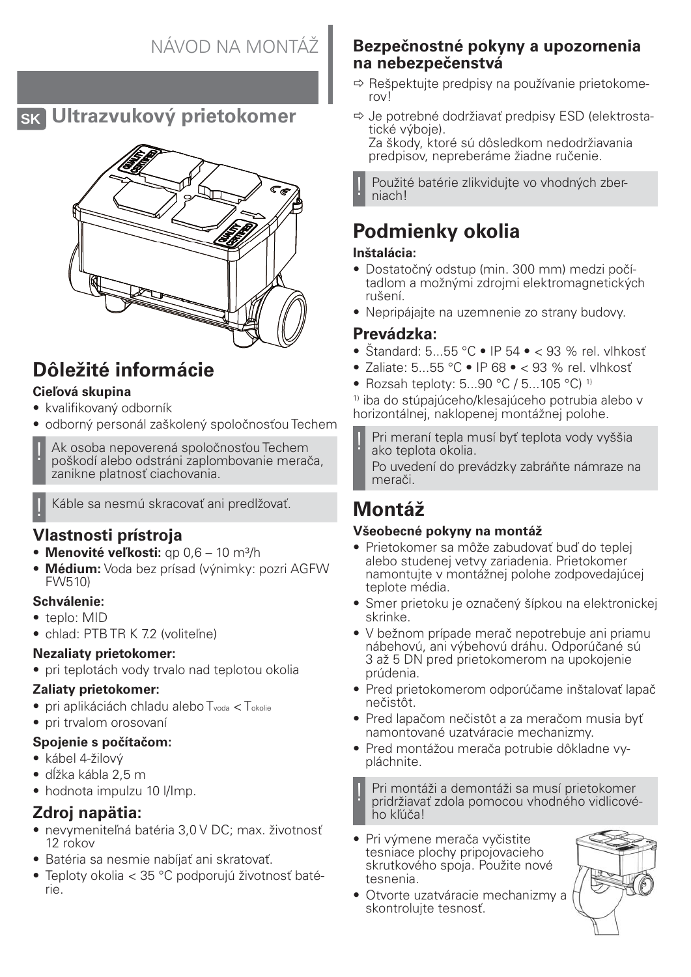## **SK Ultrazvukový prietokomer**



# **Dôležité informácie**

### **Cieľová skupina**

- kvalifikovaný odborník
- odborný personál zaškolený spoločnosťou Techem

Ak osoba nepoverená spoločnosťou Techem poškodí alebo odstráni zaplombovanie merača, zanikne platnosť ciachovania.

! Káble sa nesmú skracovať ani predlžovať.

## **Vlastnosti prístroja**

- **Menovité veľkosti:** qp 0,6 10 m<sup>3</sup>/h
- **Médium:** Voda bez prísad (výnimky: pozri AGFW FW510)

### **Schválenie:**

- teplo: MID
- chlad: PTB TR K 7.2 (voliteľne)

### **Nezaliaty prietokomer:**

• pri teplotách vody trvalo nad teplotou okolia

### **Zaliaty prietokomer:**

- pri aplikáciách chladu alebo T<sub>voda</sub> < T<sub>okolie</sub>
- pri trvalom orosovaní

### **Spojenie s počítačom:**

- kábel 4-žilový
- dĺžka kábla 2,5 m
- hodnota impulzu 10 l/lmp.

## **Zdroj napätia:**

- nevymeniteľná batéria 3,0 V DC; max. životnosť 12 rokov
- Batéria sa nesmie nabíjať ani skratovať.
- Teploty okolia < 35 °C podporujú životnosť batérie.

## **Bezpečnostné pokyny a upozornenia na nebezpečenstvá**

- $\Rightarrow$  Rešpektujte predpisy na používanie prietokomerov!
- $\Rightarrow$  Je potrebné dodržiavať predpisy ESD (elektrostatické výboje). Za škody, ktoré sú dôsledkom nedodržiavania predpisov, nepreberáme žiadne ručenie.

Použité batérie zlikvidujte vo vhodných zberniach!

# **Podmienky okolia**

### **Inštalácia:**

- Dostatočný odstup (min. 300 mm) medzi počítadlom a možnými zdrojmi elektromagnetických rušení.
- Nepripájajte na uzemnenie zo strany budovy.

## **Prevádzka:**

- Štandard:  $5...55$  °C IP  $54 \cdot < 93$  % rel. vlhkosť
- Zaliate: 5...55 °C IP 68 < 93 % rel. vlhkosť
- Rozsah teploty: 5...90 °C / 5...105 °C)<sup>1)</sup>

1) iba do stúpajúceho/klesajúceho potrubia alebo v horizontálnej, naklopenej montážnej polohe.

Pri meraní tepla musí byť teplota vody vyššia ako teplota okolia.

Po uvedení do prevádzky zabráňte námraze na merači.

# **Montáž**

### **Všeobecné pokyny na montáž**

- Prietokomer sa môže zabudovať buď do teplej alebo studenej vetvy zariadenia. Prietokomer namontujte v montážnej polohe zodpovedajúcej teplote média.
- Smer prietoku je označený šípkou na elektronickej skrinke.
- V bežnom prípade merač nepotrebuje ani priamu nábehovú, ani výbehovú dráhu. Odporúčané sú 3 až 5 DN pred prietokomerom na upokojenie prúdenia.
- Pred prietokomerom odporúčame inštalovať lapač nečistôt.
- Pred lapačom nečistôt a za meračom musia byť namontované uzatváracie mechanizmy.
- Pred montážou merača potrubie dôkladne vypláchnite.

! Pri montáži a demontáži sa musí prietokomer pridržiavať zdola pomocou vhodného vidlicového kľúča!

- Pri výmene merača vyčistite tesniace plochy pripojovacieho skrutkového spoja. Použite nové tesnenia.
- Otvorte uzatváracie mechanizmy a skontroluite tesnosť.

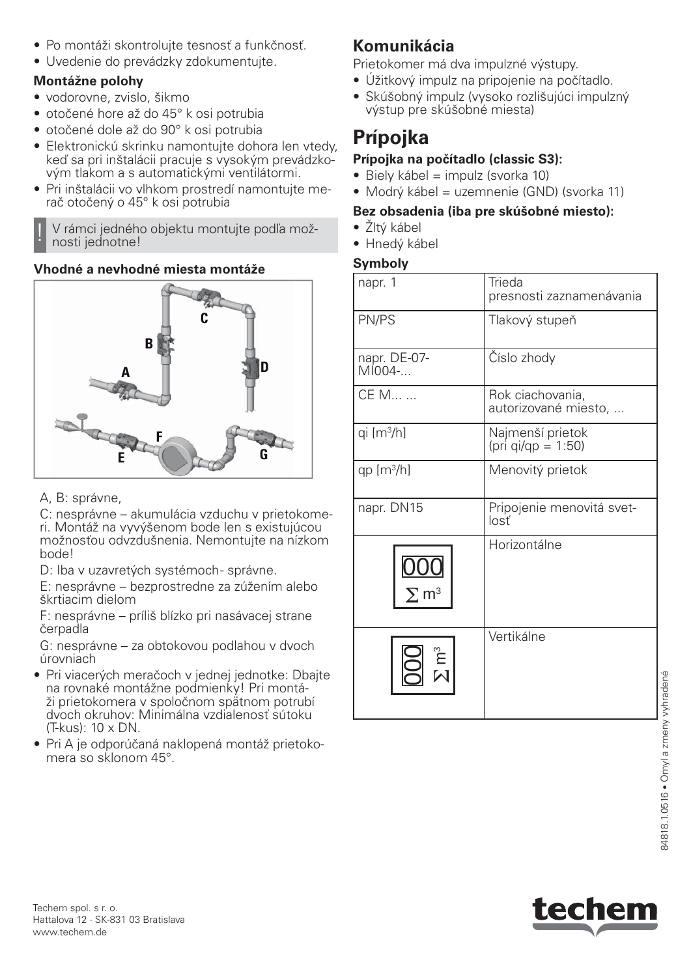- Po montáži skontrolujte tesnosť a funkčnosť.
- Uvedenie do prevádzky zdokumentujte.

### **Montážne polohy**

- vodorovne, zvislo, šikmo
- otočené hore až do 45° k osi potrubia
- otočené dole až do 90° k osi potrubia
- Elektronickú skrinku namontujte dohora len vtedy, keď sa pri inštalácii pracuje s vysokým prevádzkovým tlakom a s automatickými ventilátormi.
- Pri inštalácii vo vlhkom prostredí namontujte merač otočený o 45° k osi potrubia

V rámci jedného objektu montujte podľa možnosti jednotne!

### **Vhodné a nevhodné miesta montáže**



A, B: správne,

C: nesprávne – akumulácia vzduchu v prietokomeri. Montáž na vyvýšenom bode len s existujúcou možnosťou odvzdušnenia. Nemontujte na nízkom bode!

D: Iba v uzavretých systémoch- správne.

E: nesprávne – bezprostredne za zúžením alebo škrtiacim dielom

F: nesprávne – príliš blízko pri nasávacej strane čerpadla

G: nesprávne – za obtokovou podlahou v dvoch úrovniach

- Pri viacerých meračoch v jednej jednotke: Dbajte na rovnaké montážne podmienky! Pri montáži prietokomera v spoločnom spätnom potrubí dvoch okruhov: Minimálna vzdialenosť sútoku (T-kus): 10 x DN.
- Pri A je odporúčaná naklopená montáž prietokomera so sklonom 45°.

## **Komunikácia**

Prietokomer má dva impulzné výstupy.

- Úžitkový impulz na pripojenie na počítadlo.
- Skúšobný impulz (vysoko rozlišujúci impulzný výstup pre skúšobné miesta)

# **Prípojka**

### **Prípojka na počítadlo (classic S3):**

- Biely kábel = impulz (svorka 10)
- Modrý kábel = uzemnenie (GND) (svorka 11)

### **Bez obsadenia (iba pre skúšobné miesto):**

- Žltý kábel
- Hnedý kábel

### **Symboly**

| napr. 1                   | Trieda<br>presnosti zaznamenávania       |
|---------------------------|------------------------------------------|
| PN/PS                     | Tlakový stupeň                           |
| napr. DE-07-<br>$MIO04-.$ | Číslo zhody                              |
| CE M                      | Rok ciachovania,<br>autorizované miesto, |
| qi [m <sup>3</sup> /h]    | Najmenší prietok<br>(pri qi/qp = 1:50)   |
| qp $[m^3/h]$              | Menovitý prietok                         |
| napr. DN15                | Pripojenie menovitá svet-<br>losť        |
| $\Sigma$ m <sup>3</sup>   | Horizontálne                             |
|                           | Vertikálne                               |



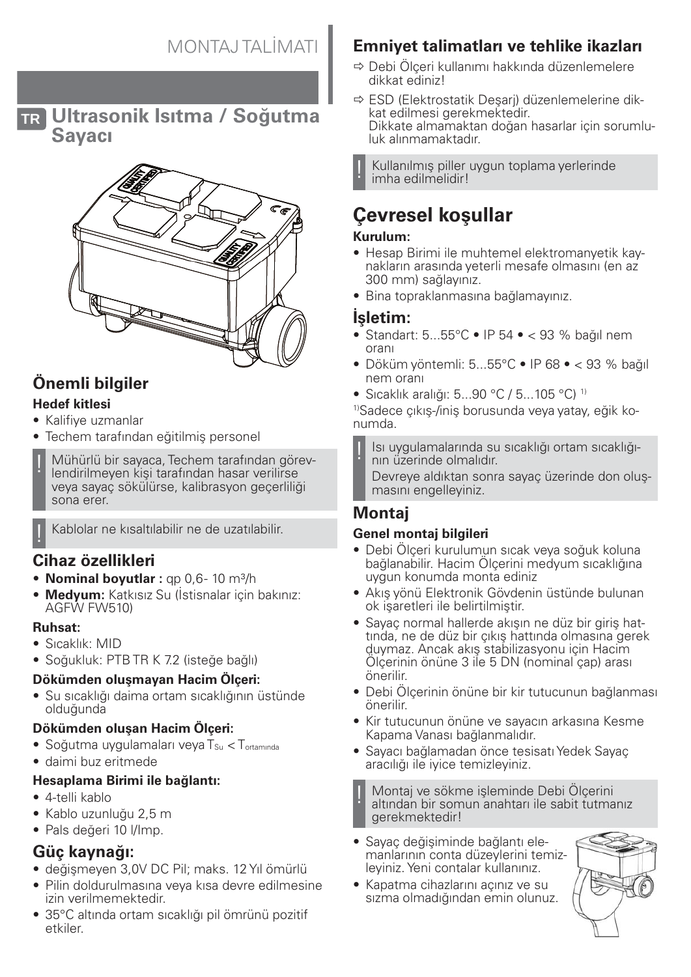**TR Ultrasonik Isıtma / Soğutma Sayacı**



## **Önemli bilgiler**

### **Hedef kitlesi**

- Kalifiye uzmanlar
- Techem tarafından eğitilmiş personel
- Mühürlü bir sayaca, Techem tarafından görevlendirilmeyen kişi tarafından hasar verilirse veya sayaç sökülürse, kalibrasyon geçerliliği sona erer.

! Kablolar ne kısaltılabilir ne de uzatılabilir.

## **Cihaz özellikleri**

- **Nominal boyutlar** : qp 0,6-10 m<sup>3</sup>/h
- **Medyum:** Katkısız Su (İstisnalar için bakınız: AGFW FW510)

#### **Ruhsat:**

- Sıcaklık: MID
- Soğukluk: PTB TR K 7.2 (isteğe bağlı)

### **Dökümden oluşmayan Hacim Ölçeri:**

• Su sıcaklığı daima ortam sıcaklığının üstünde olduğunda

### **Dökümden oluşan Hacim Ölçeri:**

- Soğutma uygulamaları veya  $T_{\text{Su}} < T_{\text{ortambda}}$
- daimi buz eritmede

### **Hesaplama Birimi ile bağlantı:**

- 4-telli kablo
- Kablo uzunluğu 2,5 m
- Pals değeri 10 l/Imp.

## **Güç kaynağı:**

- değişmeyen 3,0V DC Pil; maks. 12 Yıl ömürlü
- Pilin doldurulmasına veya kısa devre edilmesine izin verilmemektedir.
- 35°C altında ortam sıcaklığı pil ömrünü pozitif etkiler.

## **Emniyet talimatları ve tehlike ikazları**

- $\Rightarrow$  Debi Ölçeri kullanımı hakkında düzenlemelere dikkat ediniz!
- $\Rightarrow$  ESD (Elektrostatik Desari) düzenlemelerine dikkat edilmesi gerekmektedir. Dikkate almamaktan doğan hasarlar için sorumluluk alınmamaktadır.

Kullanılmış piller uygun toplama yerlerinde imha edilmelidir!

# **Çevresel koşullar**

### **Kurulum:**

- Hesap Birimi ile muhtemel elektromanyetik kaynakların arasında yeterli mesafe olmasını (en az 300 mm) sağlayınız.
- Bina topraklanmasına bağlamayınız.

## **İşletim:**

- Standart:  $5...55^{\circ}$ C IP  $54 \cdot < 93$  % bağıl nem oranı
- $\bullet$  Döküm vöntemli: 5...55°C $\bullet$  IP 68 $\bullet$  < 93 % bağıl nem oranı
- Sıcaklık aralığı: 5...90 °C / 5...105 °C) 1)

1)Sadece çıkış-/iniş borusunda veya yatay, eğik konumda.

! Isı uygulamalarında su sıcaklığı ortam sıcaklığının üzerinde olmalıdır.

Devreye aldıktan sonra sayaç üzerinde don oluşmasını engelleyiniz.

## **Montaj**

### **Genel montaj bilgileri**

- Debi Ölçeri kurulumun sıcak veya soğuk koluna bağlanabilir. Hacim Ölçerini medyum sıcaklığına uygun konumda monta ediniz
- Akış yönü Elektronik Gövdenin üstünde bulunan ok işaretleri ile belirtilmiştir.
- Sayaç normal hallerde akışın ne düz bir giriş hattında, ne de düz bir çıkış hattında olmasına gerek duymaz. Ancak akış stabilizasyonu için Hacim Ölçerinin önüne 3 ile 5 DN (nominal çap) arası önerilir.
- Debi Ölçerinin önüne bir kir tutucunun bağlanması önerilir.
- Kir tutucunun önüne ve sayacın arkasına Kesme Kapama Vanası bağlanmalıdır.
- Sayacı bağlamadan önce tesisatı Yedek Sayaç aracılığı ile iyice temizleyiniz.

! Montaj ve sökme işleminde Debi Ölçerini altından bir somun anahtarı ile sabit tutmanız gerekmektedir!

- Sayaç değişiminde bağlantı elemanlarının conta düzeylerini temizleyiniz. Yeni contalar kullanınız.
- Kapatma cihazlarını açınız ve su sızma olmadığından emin olunuz.

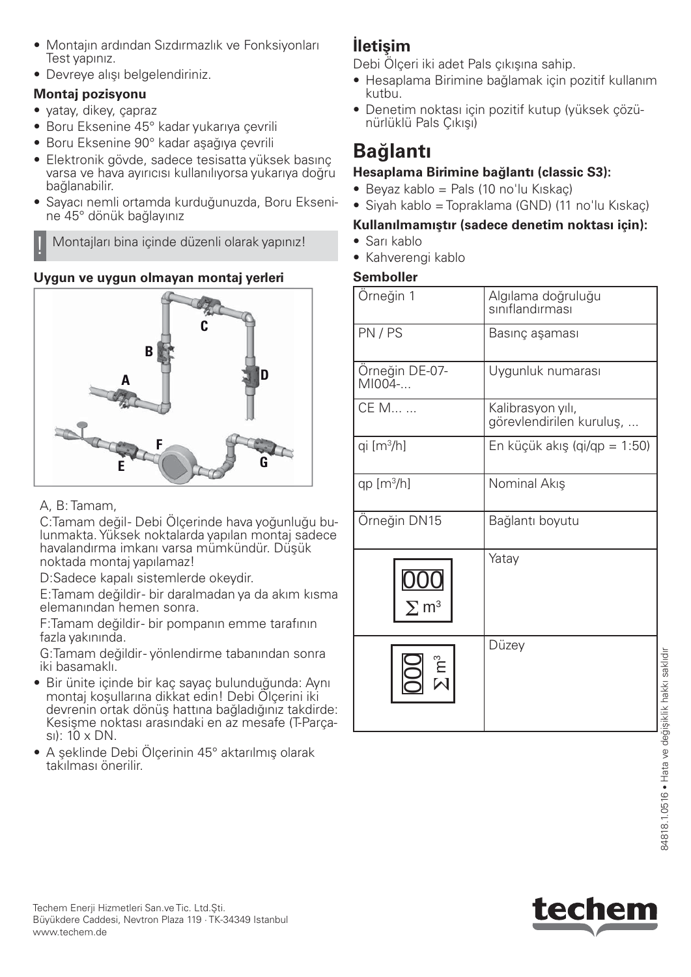- Montajın ardından Sızdırmazlık ve Fonksiyonları Test yapınız.
- Devreye alışı belgelendiriniz.

## **Montaj pozisyonu**

- yatay, dikey, çapraz
- Boru Eksenine 45° kadar yukarıya çevrili
- Boru Eksenine 90° kadar aşağıya çevrili
- Elektronik gövde, sadece tesisatta yüksek basınç varsa ve hava ayırıcısı kullanılıyorsa yukarıya doğru bağlanabilir.
- Sayacı nemli ortamda kurduğunuzda, Boru Eksenine 45° dönük bağlayınız

! Montajları bina içinde düzenli olarak yapınız!

## **Uygun ve uygun olmayan montaj yerleri**



## A, B: Tamam,

C:Tamam değil- Debi Ölçerinde hava yoğunluğu bulunmakta. Yüksek noktalarda yapılan montaj sadece havalandırma imkanı varsa mümkündür. Düşük noktada montaj yapılamaz!

D:Sadece kapalı sistemlerde okeydir.

E:Tamam değildir - bir daralmadan ya da akım kısma elemanından hemen sonra.

F:Tamam değildir - bir pompanın emme tarafının fazla yakınında.

G:Tamam değildir - yönlendirme tabanından sonra iki basamaklı.

- Bir ünite içinde bir kaç sayaç bulunduğunda: Aynı montaj koşullarına dikkat edin! Debi Ölçerini iki devrenin ortak dönüş hattına bağladığınız takdirde: Kesişme noktası arasındaki en az mesafe (T-Parçası): 10 x DN.
- A şeklinde Debi Ölçerinin 45° aktarılmış olarak takılması önerilir.

## **İletişim**

Debi Ölçeri iki adet Pals çıkışına sahip.

- Hesaplama Birimine bağlamak için pozitif kullanım kutbu.
- Denetim noktası için pozitif kutup (yüksek çözünürlüklü Pals Çıkışı)

# **Bağlantı**

## **Hesaplama Birimine bağlantı (classic S3):**

- Beyaz kablo = Pals (10 no'lu Kıskaç)
- Siyah kablo = Topraklama (GND) (11 no'lu Kıskaç)

## **Kullanılmamıştır (sadece denetim noktası için):**

- Sarı kablo
- Kahverengi kablo

### **Semboller**

| Orneğin 1                | Algılama doğruluğu<br>sınıflandırması         |
|--------------------------|-----------------------------------------------|
| PN/PS                    | Basınç aşaması                                |
| Orneğin DE-07-<br>MI004- | Uygunluk numarası                             |
| CE M                     | Kalibrasyon yılı,<br>görevlendirilen kuruluş, |
| qi [m <sup>3</sup> /h]   | En küçük akış (qi/qp = 1:50)                  |
| qp [m <sup>3</sup> /h]   | Nominal Akış                                  |
| Örneğin DN15             | Bağlantı boyutu                               |
|                          | Yatay                                         |
| $\sum_{i=1}^{n}$         | Düzey                                         |



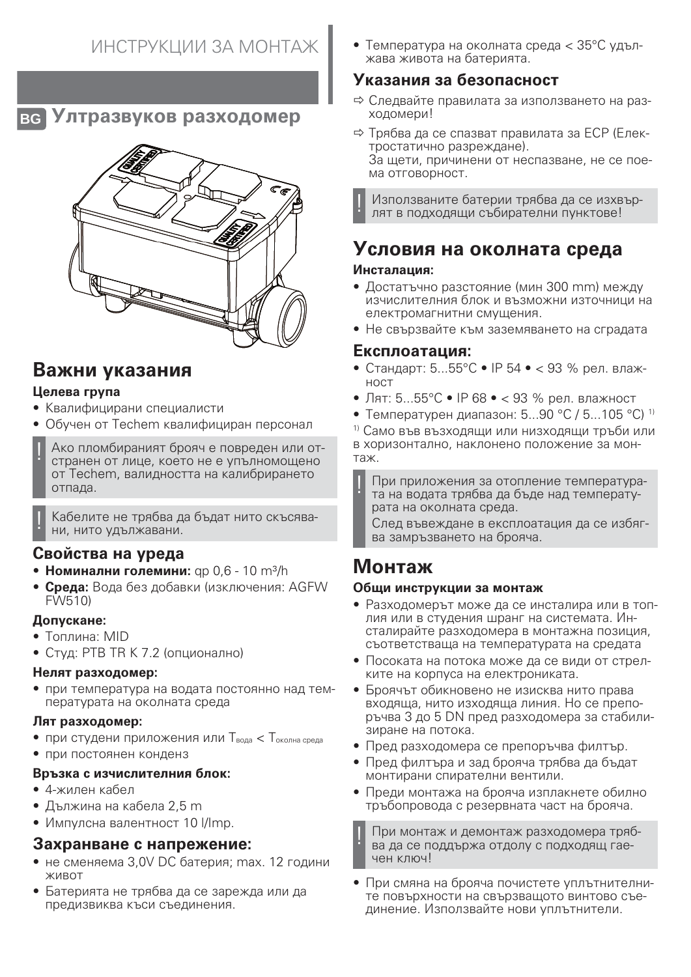**BG Ултразвуков разходомер**



## **Важни указания**

### **Целева група**

- Квалифицирани специалисти
- Обучен от Techem квалифициран персонал
- ! Ако пломбираният брояч е повреден или отстранен от лице, което не е упълномощено от Techem, валидността на калибрирането отпада.

Кабелите не трябва да бъдат нито скъсявани, нито удължавани.

### **Свойства на уреда**

- Номинални големини: qp 0,6 10 m<sup>3</sup>/h
- **Среда:** Вода без добавки (изключения: AGFW FW510)

### **Допускане:**

- Топлина: MID
- Студ: PTB TR K 7.2 (опционално)

#### **Нелят разходомер:**

• при температура на водата постоянно над температурата на околната среда

#### **Лят разходомер:**

- при студени приложения или  $T_{BOM} < T_{OKOJHA}$  среда
- при постоянен конденз

#### **Връзка с изчислителния блок:**

- 4-жилен кабел
- Дължина на кабела 2,5 m
- Импулсна валентност 10 I/Imp.

## **Захранване с напрежение:**

- не сменяема 3,0V DC батерия; max. 12 години живот
- Батерията не трябва да се зарежда или да предизвиква къси съединения.

• Температура на околната среда < 35°C удължава живота на батерията.

## **Указания за безопасност**

- Ö Следвайте правилата за използването на разходомери!
- $\Rightarrow$  Трябва да се спазват правилата за ЕСР (Електростатично разреждане).

За щети, причинени от неспазване, не се поема отговорност.

! Използваните батерии трябва да се изхвърлят в подходящи събирателни пунктове!

## **Условия на околната среда**

#### **Инсталация:**

- Достатъчно разстояние (мин 300 mm) между изчислителния блок и възможни източници на електромагнитни смущения.
- Не свързвайте към заземяването на сградата

### **Експлоатация:**

- Стандарт: 5...55°C IP 54 < 93 % рел. влажност
- Лят: 5...55°C IP 68 < 93 % рел. влажност
- Температурен диапазон: 5...90 °С / 5...105 °С) <sup>1)</sup>

1) Само във възходящи или низходящи тръби или в хоризонтално, наклонено положение за монтаж.

При приложения за отопление температурата на водата трябва да бъде над температурата на околната среда.

След въвеждане в експлоатация да се избягва замръзването на брояча.

# **Монтаж**

### **Общи инструкции за монтаж**

- Разходомерът може да се инсталира или в топлия или в студения шранг на системата. Инсталирайте разходомера в монтажна позиция, съответстваща на температурата на средата
- Посоката на потока може да се види от стрелките на корпуса на електрониката.
- Броячът обикновено не изисква нито права входяща, нито изходяща линия. Но се препоръчва 3 до 5 DN пред разходомера за стабилизиране на потока.
- Пред разходомера се препоръчва филтър.
- Пред филтъра и зад брояча трябва да бъдат монтирани спирателни вентили.
- Преди монтажа на брояча изплакнете обилно тръбопровода с резервната част на брояча.

! При монтаж и демонтаж разходомера трябва да се поддържа отдолу с подходящ гаечен ключ!

• При смяна на брояча почистете уплътнителните повърхности на свързващото винтово съединение. Използвайте нови уплътнители.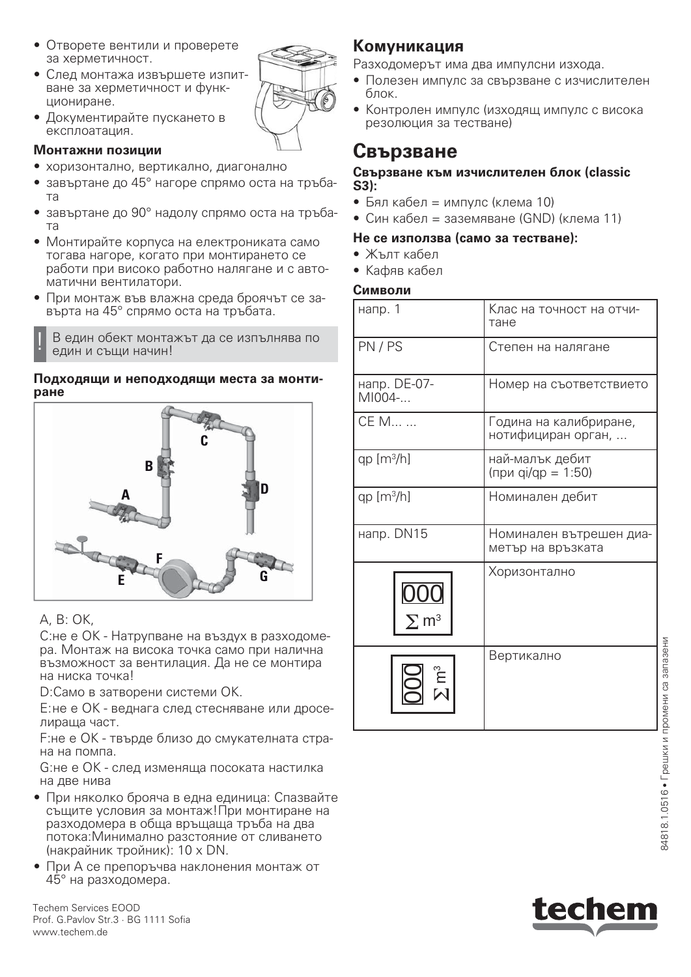- Отворете вентили и проверете за херметичност.
- След монтажа извършете изпитване за херметичност и функциониране.
- Документирайте пускането в експлоатация.

#### **Монтажни позиции**

- хоризонтално, вертикално, диагонално
- завъртане до 45° нагоре спрямо оста на тръбата
- завъртане до 90° надолу спрямо оста на тръбата
- Монтирайте корпуса на електрониката само тогава нагоре, когато при монтирането се работи при високо работно налягане и с автоматични вентилатори.
- При монтаж във влажна среда броячът се завърта на 45° спрямо оста на тръбата.

В един обект монтажът да се изпълнява по един и същи начин!

#### **Подходящи и неподходящи места за монтиране**



### A, B: OK,

C:не е OK - Натрупване на въздух в разходомера. Монтаж на висока точка само при налична възможност за вентилация. Да не се монтира на ниска точка!

D:Само в затворени системи OK.

E: не е OK - веднага след стесняване или дроселираща част.

F:не е OK - твърде близо до смукателната страна на помпа.

G:не е OK - след изменяща посоката настилка на две нива

- При няколко брояча в една единица: Спазвайте същите условия за монтаж!При монтиране на разходомера в обща връщаща тръба на два потока:Минимално разстояние от сливането (накрайник тройник): 10 x DN.
- При А се препоръчва наклонения монтаж от 45° на разходомера.

Techem Services EOOD Prof. G.Pavlov Str.3 · BG 1111 Sofia www.techem.de

## **Комуникация**

Разходомерът има два импулсни изхода.

- Полезен импулс за свързване с изчислителен блок.
- Контролен импулс (изходящ импулс с висока резолюция за тестване)

## **Свързване**

#### **Свързване към изчислителен блок (classic S3):**

- Бял кабел = импулс (клема 10)
- Син кабел = заземяване (GND) (клема 11)

#### **Не се използва (само за тестване):**

- Жълт кабел
- Кафяв кабел

#### **Символи**

| напр. 1                 | Клас на точност на отчи-<br>тане             |
|-------------------------|----------------------------------------------|
| PN/PS                   | Степен на налягане                           |
| напр. DE-07-<br>MI004-  | Номер на съответствието                      |
| CE M                    | Година на калибриране,<br>нотифициран орган, |
| qp $[m3/h]$             | най-малък дебит<br>(при qi/qp = 1:50)        |
| qp $[m3/h]$             | Номинален дебит                              |
| напр. DN15              | Номинален вътрешен диа-<br>метър на връзката |
| $\Sigma$ m <sup>3</sup> | Хоризонтално                                 |
| ຼື<br>ເປ                | Вертикално                                   |



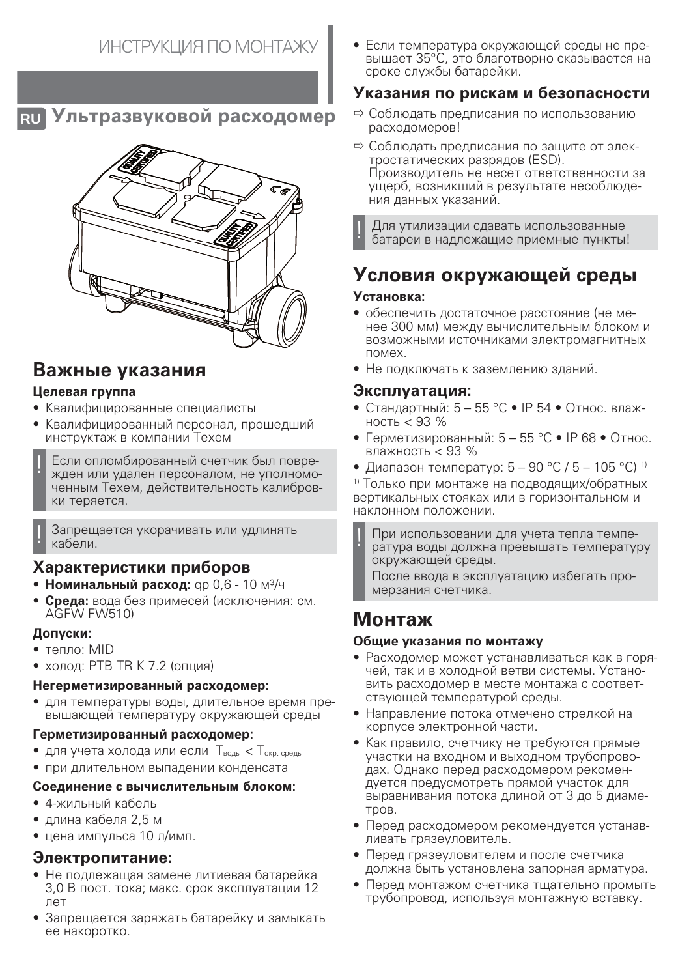**RU Ультразвуковой расходомер**



## **Важные указания**

### **Целевая группа**

- Квалифицированные специалисты
- Квалифицированный персонал, прошедший инструктаж в компании Техем
- Если опломбированный счетчик был поврежден или удален персоналом, не уполномоченным Техем, действительность калибровки теряется.

Запрещается укорачивать или удлинять кабели.

### **Характеристики приборов**

- Номинальный расход: qp 0,6 10 м<sup>3</sup>/ч
- **Среда:** вода без примесей (исключения: см. AGFW FW510)

#### **Допуски:**

- тепло: MID
- холод: PTB TR K 7.2 (опция)

### **Негерметизированный расходомер:**

• для температуры воды, длительное время превышающей температуру окружающей среды

#### **Герметизированный расходомер:**

- для учета холода или если  $T_{\text{BOL}}$  <  $T_{\text{OKD. CPEAL}}$
- при длительном выпадении конденсата

#### **Соединение с вычислительным блоком:**

- 4-жильный кабель
- длина кабеля 2,5 м
- цена импульса 10 л/имп.

### **Электропитание:**

- Не подлежащая замене литиевая батарейка 3,0 В пост. тока; макс. срок эксплуатации 12 лет
- Запрещается заряжать батарейку и замыкать ее накоротко.

• Если температура окружающей среды не превышает 35°C, это благотворно сказывается на сроке службы батарейки.

## **Указания по рискам и безопасности**

- $\Rightarrow$  Соблюдать предписания по использованию расходомеров!
- $\Rightarrow$  Соблюдать предписания по защите от электростатических разрядов (ESD). Производитель не несет ответственности за ущерб, возникший в результате несоблюдения данных указаний.

! Для утилизации сдавать использованные батареи в надлежащие приемные пункты!

# **Условия окружающей среды**

#### **Установка:**

- обеспечить достаточное расстояние (не менее 300 мм) между вычислительным блоком и возможными источниками электромагнитных помех.
- Не подключать к заземлению зданий.

### **Эксплуатация:**

- Стандартный:  $5 55$  °С IP 54 Относ. влажность < 93 %
- Герметизированный:  $5 55$  °С IP 68 Относ. влажность < 93 %
- Диапазон температур:  $5 90$  °C /  $5 105$  °C)<sup>1)</sup>

1) Только при монтаже на подводящих/обратных вертикальных стояках или в горизонтальном и наклонном положении.

При использовании для учета тепла температура воды должна превышать температуру окружающей среды.

После ввода в эксплуатацию избегать промерзания счетчика.

## **Монтаж**

#### **Общие указания по монтажу**

- Расходомер может устанавливаться как в горячей, так и в холодной ветви системы. Установить расходомер в месте монтажа с соответствующей температурой среды.
- Направление потока отмечено стрелкой на корпусе электронной части.
- Как правило, счетчику не требуются прямые участки на входном и выходном трубопроводах. Однако перед расходомером рекомендуется предусмотреть прямой участок для выравнивания потока длиной от 3 до 5 диаметров.
- Перед расходомером рекомендуется устанавливать грязеуловитель.
- Перед грязеуловителем и после счетчика должна быть установлена запорная арматура.
- Перед монтажом счетчика тщательно промыть трубопровод, используя монтажную вставку.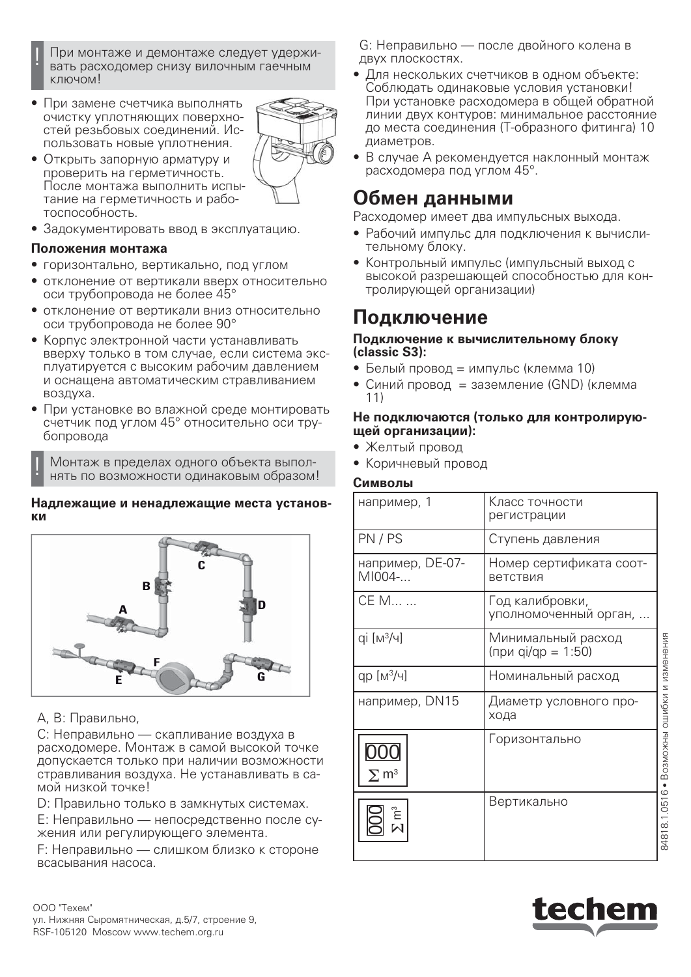

- ! При монтаже и демонтаже следует удерживать расходомер снизу вилочным гаечным ключом!
- При замене счетчика выполнять очистку уплотняющих поверхностей резьбовых соединений. Использовать новые уплотнения.



- Открыть запорную арматуру и проверить на герметичность. После монтажа выполнить испытание на герметичность и работоспособность.
- Задокументировать ввод в эксплуатацию.

#### **Положения монтажа**

- горизонтально, вертикально, под углом
- отклонение от вертикали вверх относительно оси трубопровода не более 45°
- отклонение от вертикали вниз относительно оси трубопровода не более 90°
- Корпус электронной части устанавливать вверху только в том случае, если система эксплуатируется с высоким рабочим давлением и оснащена автоматическим стравливанием воздуха.
- При установке во влажной среде монтировать счетчик под углом 45° относительно оси трубопровода

! Монтаж в пределах одного объекта выполнять по возможности одинаковым образом!

#### **Надлежащие и ненадлежащие места установки**



#### A, B: Правильно,

C: Неправильно — скапливание воздуха в расходомере. Монтаж в самой высокой точке допускается только при наличии возможности стравливания воздуха. Не устанавливать в самой низкой точке!

D: Правильно только в замкнутых системах.

E: Неправильно — непосредственно после сужения или регулирующего элемента.

F: Неправильно — слишком близко к стороне всасывания насоса.

G: Неправильно — после двойного колена в двух плоскостях.

- Для нескольких счетчиков в одном объекте: Соблюдать одинаковые условия установки! При установке расходомера в общей обратной линии двух контуров: минимальное расстояние до места соединения (Т-образного фитинга) 10 диаметров.
- В случае А рекомендуется наклонный монтаж расходомера под углом 45°.

## **Обмен данными**

Расходомер имеет два импульсных выхода.

- Рабочий импульс для подключения к вычислительному блоку.
- Контрольный импульс (импульсный выход с высокой разрешающей способностью для контролирующей организации)

## **Подключение**

#### **Подключение к вычислительному блоку (classic S3):**

- Белый провод = импульс (клемма 10)
- Синий провод = заземление (GND) (клемма 11)

#### **Не подключаются (только для контролирующей организации):**

## • Желтый провод

• Коричневый провод

#### **Символы**

| например, 1                | Класс точности<br>регистрации            |                               |
|----------------------------|------------------------------------------|-------------------------------|
| PN/PS                      | Ступень давления                         |                               |
| например, DE-07-<br>MI004- | Номер сертификата соот-<br>ветствия      |                               |
| CE M                       | Год калибровки,<br>уполномоченный орган, |                               |
| qi [M3/4]                  | Минимальный расход<br>(при qi/qp = 1:50) |                               |
| $qp [M^3/4]$               | Номинальный расход                       |                               |
| например, DN15             | Диаметр условного про-<br>хода           |                               |
| $\Sigma$ m $^3$            | Горизонтально                            | • Возможны ошибки и изменения |
|                            | Вертикально                              | 84818.1.0516                  |

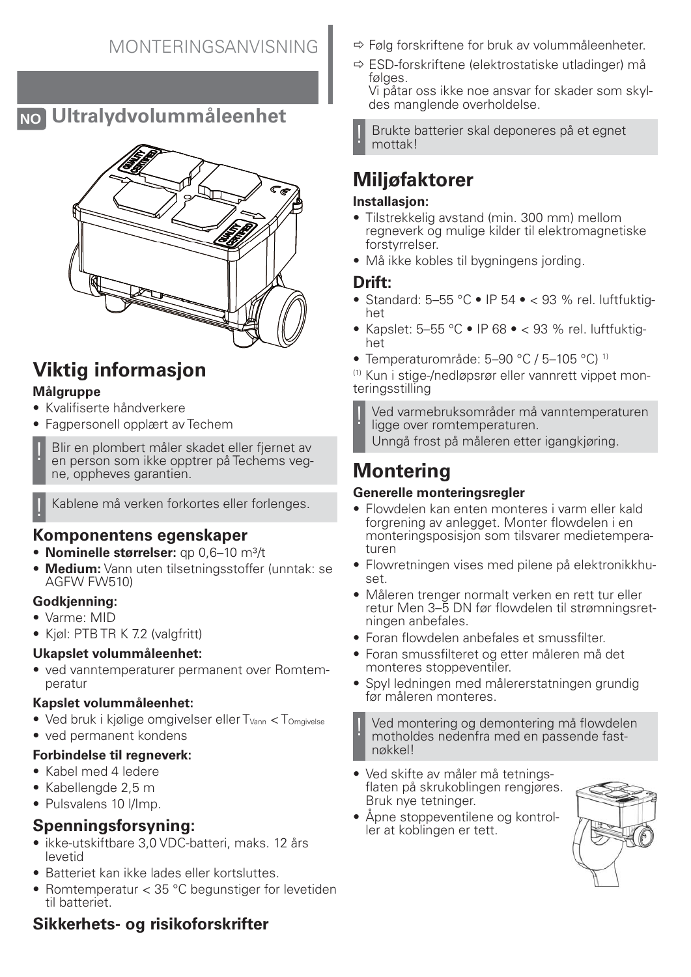## **NO Ultralydvolummåleenhet**



# **Viktig informasjon**

### **Målgruppe**

- Kvalifiserte håndverkere
- Fagpersonell opplært av Techem

Blir en plombert måler skadet eller fjernet av en person som ikke opptrer på Techems vegne, oppheves garantien.

Kablene må verken forkortes eller forlenges.

## **Komponentens egenskaper**

- **Nominelle størrelser:** ap 0.6–10 m<sup>3</sup>/t
- **Medium:** Vann uten tilsetningsstoffer (unntak: se AGFW FW510)

### **Godkjenning:**

- Varme: MID
- Kjøl: PTB TR K 7.2 (valgfritt)

### **Ukapslet volummåleenhet:**

• ved vanntemperaturer permanent over Romtemperatur

### **Kapslet volummåleenhet:**

- Ved bruk i kjølige omgivelser eller  $T_{Vann} < T_{Omavise}$
- ved permanent kondens

### **Forbindelse til regneverk:**

- Kabel med 4 ledere
- Kabellengde 2,5 m
- Pulsvalens 10 l/Imp.

## **Spenningsforsyning:**

- ikke-utskiftbare 3,0 VDC-batteri, maks. 12 års levetid
- Batteriet kan ikke lades eller kortsluttes.
- Romtemperatur < 35 °C begunstiger for levetiden til batteriet.

## **Sikkerhets- og risikoforskrifter**

- $\Rightarrow$  Følg forskriftene for bruk av volummåleenheter.
- $\Rightarrow$  ESD-forskriftene (elektrostatiske utladinger) må følges.

Vi påtar oss ikke noe ansvar for skader som skyldes manglende overholdelse.

! Brukte batterier skal deponeres på et egnet mottak!

# **Miljøfaktorer**

### **Installasjon:**

- Tilstrekkelig avstand (min. 300 mm) mellom regneverk og mulige kilder til elektromagnetiske forstyrrelser.
- Må ikke kobles til bygningens jording.

### **Drift:**

- Standard: 5-55 °C IP 54 < 93 % rel. luftfuktighet
- Kapslet:  $5-55$  °C IP 68 < 93 % rel. luftfuktighet
- Temperaturområde: 5–90 °C / 5–105 °C) 1)

(1) Kun i stige-/nedløpsrør eller vannrett vippet monteringsstilling

! Ved varmebruksområder må vanntemperaturen ligge over romtemperaturen.

Unngå frost på måleren etter igangkjøring.

# **Montering**

### **Generelle monteringsregler**

- Flowdelen kan enten monteres i varm eller kald forgrening av anlegget. Monter flowdelen i en monteringsposisjon som tilsvarer medietemperaturen
- Flowretningen vises med pilene på elektronikkhuset.
- Måleren trenger normalt verken en rett tur eller retur Men 3–5 DN før flowdelen til strømningsretningen anbefales.
- Foran flowdelen anbefales et smussfilter.
- Foran smussfilteret og etter måleren må det monteres stoppeventiler.
- Spyl ledningen med målererstatningen grundig før måleren monteres.

! Ved montering og demontering må flowdelen motholdes nedenfra med en passende fastnøkkel!

- Ved skifte av måler må tetningsflaten på skrukoblingen rengjøres. Bruk nye tetninger.
- Åpne stoppeventilene og kontroller at koblingen er tett.

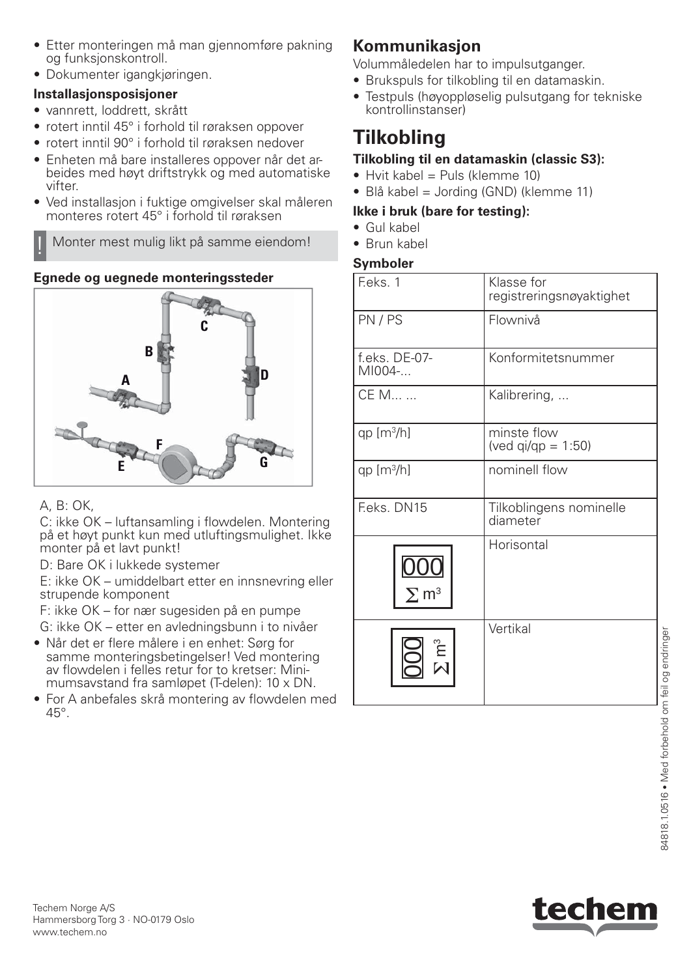- Etter monteringen må man gjennomføre pakning og funksjonskontroll.
- Dokumenter igangkjøringen.

## **Installasjonsposisjoner**

- vannrett, loddrett, skrått
- rotert inntil 45° i forhold til røraksen oppover
- rotert inntil 90° i forhold til røraksen nedover
- Enheten må bare installeres oppover når det arbeides med høyt driftstrykk og med automatiske vifter.
- Ved installasjon i fuktige omgivelser skal måleren monteres rotert 45° i forhold til røraksen

! Monter mest mulig likt på samme eiendom!

## **Egnede og uegnede monteringssteder**



## A, B: OK,

C: ikke OK – luftansamling i flowdelen. Montering på et høyt punkt kun med utluftingsmulighet. Ikke monter på et lavt punkt!

D: Bare OK i lukkede systemer

E: ikke OK – umiddelbart etter en innsnevring eller strupende komponent

F: ikke OK – for nær sugesiden på en pumpe G: ikke OK – etter en avledningsbunn i to nivåer

- Når det er flere målere i en enhet: Sørg for samme monteringsbetingelser! Ved montering av flowdelen i felles retur for to kretser: Minimumsavstand fra samløpet (T-delen): 10 x DN.
- For A anbefales skrå montering av flowdelen med 45°.

## **Kommunikasjon**

Volummåledelen har to impulsutganger.

- Brukspuls for tilkobling til en datamaskin.
- Testpuls (høyoppløselig pulsutgang for tekniske kontrollinstanser)

# **Tilkobling**

## **Tilkobling til en datamaskin (classic S3):**

- $\bullet$  Hyit kabel = Puls (klemme 10)
- Blå kabel = Jording (GND) (klemme 11)

## **Ikke i bruk (bare for testing):**

- Gul kabel
- Brun kabel

### **Symboler**

| F.eks. 1                              | Klasse for<br>registreringsnøyaktighet |
|---------------------------------------|----------------------------------------|
| PN/PS                                 | Flownivå                               |
| f.eks. DE-07-<br>MI004-               | Konformitetsnummer                     |
| CE M                                  | Kalibrering,                           |
| $qp [m^3/h]$                          | minste flow<br>(ved $qi/qp = 1:50$ )   |
| $qp [m^3/h]$                          | nominell flow                          |
| F.eks. DN15                           | Tilkoblingens nominelle<br>diameter    |
| <u>000</u><br>$\Sigma$ m <sup>3</sup> | Horisontal                             |
| ຼີ<br>ເປີ                             | Vertikal                               |

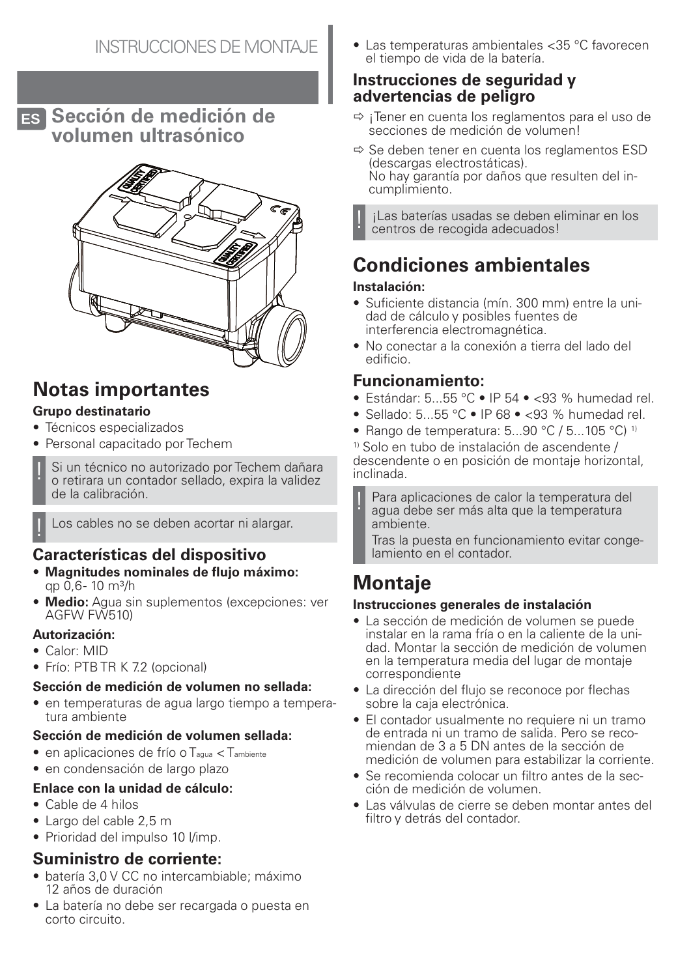**ES Sección de medición de volumen ultrasónico**



# **Notas importantes**

### **Grupo destinatario**

- Técnicos especializados
- Personal capacitado por Techem
- Si un técnico no autorizado por Techem dañara o retirara un contador sellado, expira la validez de la calibración.

Los cables no se deben acortar ni alargar.

## **Características del dispositivo**

- **Magnitudes nominales de flujo máximo:** ap 0.6- 10 m<sup>3</sup>/h
- **Medio:** Agua sin suplementos (excepciones: ver AGFW FW510)

#### **Autorización:**

- Calor: MID
- Frío: PTB TR K 7.2 (opcional)

### **Sección de medición de volumen no sellada:**

• en temperaturas de agua largo tiempo a temperatura ambiente

#### **Sección de medición de volumen sellada:**

- en aplicaciones de frío o Tagua < Tambiente
- en condensación de largo plazo

### **Enlace con la unidad de cálculo:**

- Cable de 4 hilos
- Largo del cable 2,5 m
- Prioridad del impulso 10 l/imp.

### **Suministro de corriente:**

- batería 3,0 V CC no intercambiable; máximo 12 años de duración
- La batería no debe ser recargada o puesta en corto circuito.

• Las temperaturas ambientales <35 °C favorecen el tiempo de vida de la batería.

### **Instrucciones de seguridad y advertencias de peligro**

- $\Rightarrow$  ¡Tener en cuenta los reglamentos para el uso de secciones de medición de volumen!
- $\Rightarrow$  Se deben tener en cuenta los reglamentos ESD (descargas electrostáticas). No hay garantía por daños que resulten del incumplimiento.

¡Las baterías usadas se deben eliminar en los centros de recogida adecuados!

# **Condiciones ambientales**

### **Instalación:**

- Suficiente distancia (mín. 300 mm) entre la unidad de cálculo y posibles fuentes de interferencia electromagnética.
- No conectar a la conexión a tierra del lado del edificio.

## **Funcionamiento:**

- Estándar: 5...55 °C IP 54 < 93 % humedad rel.
- Sellado: 5...55 °C IP 68 < 93 % humedad rel.
- Rango de temperatura:  $5...90$  °C /  $5...105$  °C) <sup>1)</sup>

1) Solo en tubo de instalación de ascendente / descendente o en posición de montaje horizontal, inclinada.

Para aplicaciones de calor la temperatura del agua debe ser más alta que la temperatura ambiente.

Tras la puesta en funcionamiento evitar congelamiento en el contador.

# **Montaje**

### **Instrucciones generales de instalación**

- La sección de medición de volumen se puede instalar en la rama fría o en la caliente de la unidad. Montar la sección de medición de volumen en la temperatura media del lugar de montaje correspondiente
- La dirección del flujo se reconoce por flechas sobre la caja electrónica.
- El contador usualmente no requiere ni un tramo de entrada ni un tramo de salida. Pero se recomiendan de 3 a 5 DN antes de la sección de medición de volumen para estabilizar la corriente.
- Se recomienda colocar un filtro antes de la sección de medición de volumen.
- Las válvulas de cierre se deben montar antes del filtro y detrás del contador.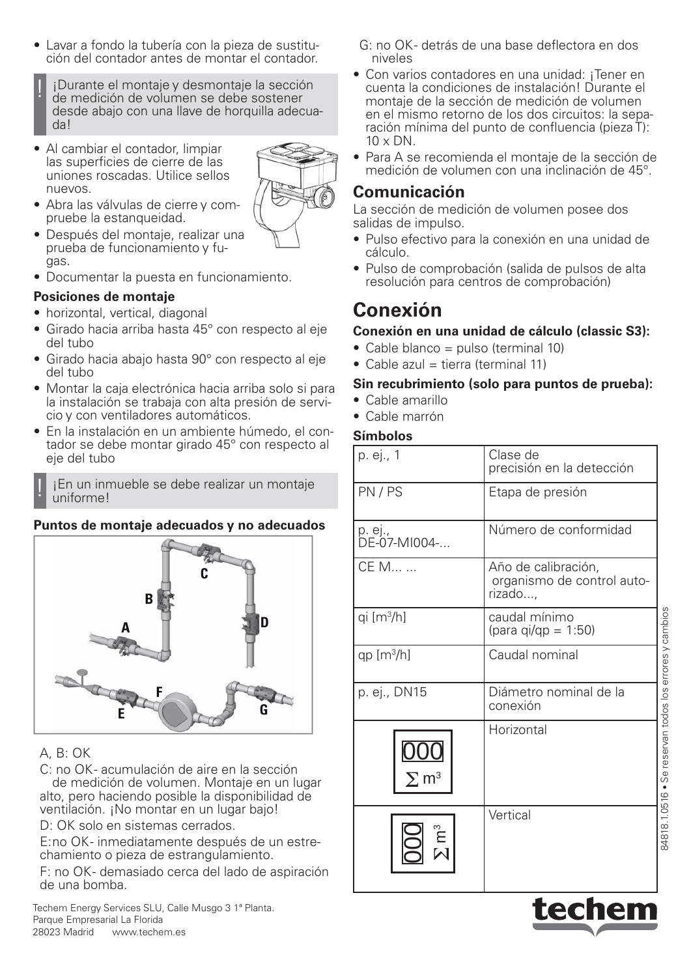- Lavar a fondo la tubería con la pieza de sustitución del contador antes de montar el contador.
	- *i* Durante el montaje y desmontaje la sección de medición de volumen se debe sostener desde abajo con una llave de horquilla adecuada!
- Al cambiar el contador, limpiar las superficies de cierre de las uniones roscadas. Utilice sellos nuevos.



- Abra las válvulas de cierre y compruebe la estanqueidad.
- Después del montaje, realizar una prueba de funcionamiento y fugas.
- Documentar la puesta en funcionamiento.

#### **Posiciones de montaje**

- horizontal, vertical, diagonal
- Girado hacia arriba hasta 45° con respecto al eje del tubo
- Girado hacia abajo hasta 90° con respecto al eje del tubo
- Montar la caja electrónica hacia arriba solo si para la instalación se trabaja con alta presión de servicio y con ventiladores automáticos.
- En la instalación en un ambiente húmedo, el contador se debe montar girado 45° con respecto al eje del tubo

 $i$ En un inmueble se debe realizar un montaje uniforme!

#### **Puntos de montaje adecuados y no adecuados**



### A, B: OK

C: no OK- acumulación de aire en la sección de medición de volumen. Montaje en un lugar alto, pero haciendo posible la disponibilidad de ventilación. ¡No montar en un lugar bajo!

D: OK solo en sistemas cerrados.

E: no OK - inmediatamente después de un estrechamiento o pieza de estrangulamiento.

F: no OK- demasiado cerca del lado de aspiración de una bomba.

Techem Energy Services SLU, Calle Musgo 3 1ª Planta. Parque Empresarial La Florida 28023 Madrid www.techem.es

- G: no OK detrás de una base deflectora en dos niveles
- Con varios contadores en una unidad: ¡Tener en cuenta la condiciones de instalación! Durante el montaje de la sección de medición de volumen en el mismo retorno de los dos circuitos: la separación mínima del punto de confluencia (pieza T):  $10 \times DN$ .
- Para A se recomienda el montaje de la sección de medición de volumen con una inclinación de 45°.

### **Comunicación**

La sección de medición de volumen posee dos salidas de impulso.

- Pulso efectivo para la conexión en una unidad de cálculo.
- Pulso de comprobación (salida de pulsos de alta resolución para centros de comprobación)

## **Conexión**

#### **Conexión en una unidad de cálculo (classic S3):**

- Cable blanco = pulso (terminal 10)
- Cable azul = tierra (terminal 11)

#### **Sin recubrimiento (solo para puntos de prueba):**

- Cable amarillo
- Cable marrón

#### **Símbolos**

| p. ej., 1               | Clase de<br>precisión en la detección                        |
|-------------------------|--------------------------------------------------------------|
| PN/PS                   | Etapa de presión                                             |
| p. ej.,<br>DE-07-MI004- | Número de conformidad                                        |
| CE M                    | Año de calibración,<br>organismo de control auto-<br>rizado, |
| qi [m <sup>3</sup> /h]  | caudal mínimo<br>(para qi/qp = $1:50$ )                      |
| $qp [m^3/h]$            | Caudal nominal                                               |
| p. ej., DN15            | Diámetro nominal de la<br>conexión                           |
| $\Sigma$ m $^3$         | Horizontal                                                   |
|                         | Vertical                                                     |



84818.1.0516 • Se reservan todos los errores y cambios

34818.1.0516 . Se reservan todos los errores y cambios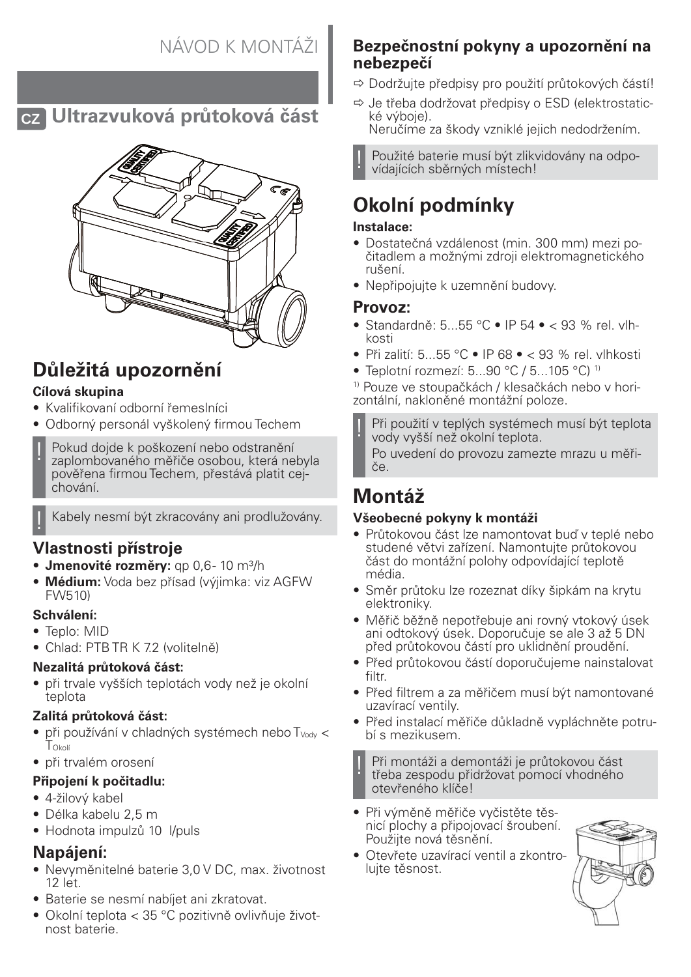

**CZ Ultrazvuková průtoková část**



# **Důležitá upozornění**

### **Cílová skupina**

- Kvalifikovaní odborní řemeslníci
- Odborný personál vyškolený firmou Techem
- Pokud dojde k poškození nebo odstranění zaplombovaného měřiče osobou, která nebyla pověřena firmou Techem, přestává platit cejchování.

! Kabely nesmí být zkracovány ani prodlužovány.

## **Vlastnosti přístroje**

- **Jmenovité rozměry:** qp 0,6 10 m³/h
- **Médium:** Voda bez přísad (výjimka: viz AGFW FW510)

### **Schválení:**

- Teplo: MID
- Chlad: PTB TR K 7.2 (volitelně)

### **Nezalitá průtoková část:**

• při trvale vyšších teplotách vody než je okolní teplota

### **Zalitá průtoková část:**

- $\bullet$  při používání v chladných systémech nebo  $T_{\text{Vadv}}$  < TOkolí
- při trvalém orosení

### **Připojení k počitadlu:**

- 4-žilový kabel
- Délka kabelu 2,5 m
- Hodnota impulzů 10 l/puls

## **Napájení:**

- Nevyměnitelné baterie 3,0 V DC, max. životnost 12 let.
- Baterie se nesmí nabíjet ani zkratovat.
- Okolní teplota < 35 °C pozitivně ovlivňuje životnost baterie.

## **Bezpečnostní pokyny a upozornění na nebezpečí**

- $\Rightarrow$  Dodržujte předpisy pro použití průtokových částí!
- $\Rightarrow$  Je třeba dodržovat předpisy o ESD (elektrostatické výboje).

Neručíme za škody vzniklé jejich nedodržením.

! Použité baterie musí být zlikvidovány na odpovídajících sběrných místech!

# **Okolní podmínky**

### **Instalace:**

- Dostatečná vzdálenost (min. 300 mm) mezi počitadlem a možnými zdroji elektromagnetického rušení.
- Nepřipojujte k uzemnění budovy.

### **Provoz:**

- Standardně: 5...55 °C IP 54 < 93 % rel. vlhkosti
- Při zalití: 5...55 °C IP 68 < 93 % rel. vlhkosti
- Teplotní rozmezí:  $5...90 °C / 5...105 °C$ ) <sup>1)</sup>

1) Pouze ve stoupačkách / klesačkách nebo v horizontální, nakloněné montážní poloze.

Při použití v teplých systémech musí být teplota vody vyšší než okolní teplota. Po uvedení do provozu zamezte mrazu u měři-

če.

# **Montáž**

### **Všeobecné pokyny k montáži**

- Průtokovou část lze namontovat buď v teplé nebo studené větvi zařízení. Namontujte průtokovou část do montážní polohy odpovídající teplotě média.
- Směr průtoku lze rozeznat díky šipkám na krytu elektroniky.
- Měřič běžně nepotřebuje ani rovný vtokový úsek ani odtokový úsek. Doporučuje se ale 3 až 5 DN před průtokovou částí pro uklidnění proudění.
- Před průtokovou částí doporučujeme nainstalovat filtr.
- Před filtrem a za měřičem musí být namontované uzavírací ventily.
- Před instalací měřiče důkladně vypláchněte potrubí s mezikusem.

! Při montáži a demontáži je průtokovou část třeba zespodu přidržovat pomocí vhodného otevřeného klíče!

- Při výměně měřiče vyčistěte těsnicí plochy a připojovací šroubení. Použijte nová těsnění.
- Otevřete uzavírací ventil a zkontrolujte těsnost.

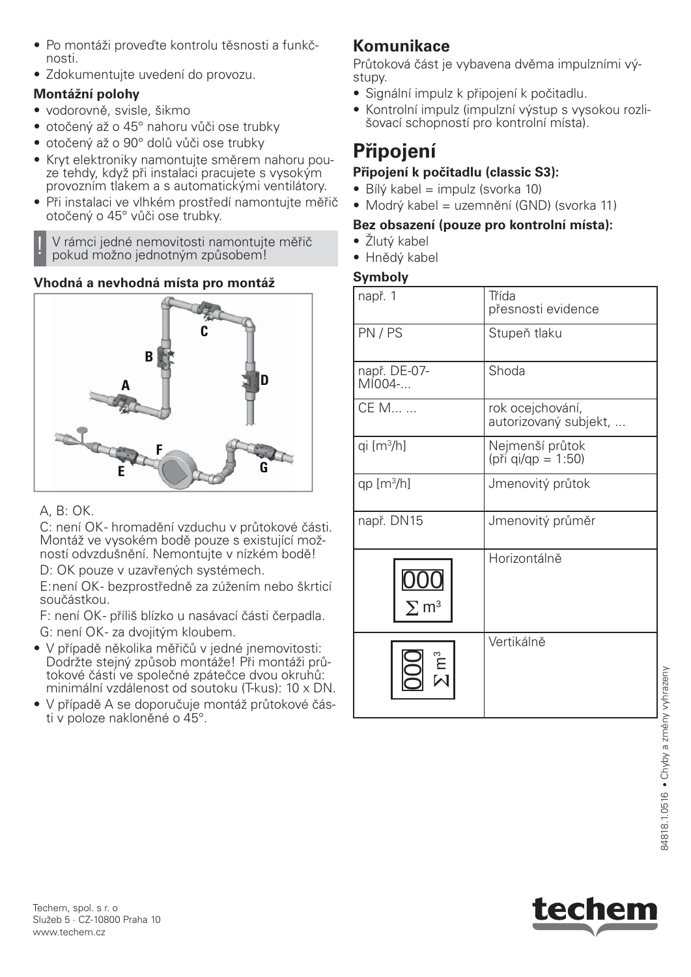- Po montáži proveďte kontrolu těsnosti a funkčnosti.
- Zdokumentujte uvedení do provozu.

## **Montážní polohy**

- vodorovně, svisle, šikmo
- otočený až o 45° nahoru vůči ose trubky
- otočený až o 90° dolů vůči ose trubky
- Kryt elektroniky namontujte směrem nahoru pouze tehdy, když při instalaci pracujete s vysokým provozním tlakem a s automatickými ventilátory.
- Při instalaci ve vlhkém prostředí namontujte měřič otočený o 45° vůči ose trubky.

! V rámci jedné nemovitosti namontujte měřič pokud možno jednotným způsobem!

## **Vhodná a nevhodná místa pro montáž**



## A, B: OK.

C: není OK- hromadění vzduchu v průtokové části. Montáž ve vysokém bodě pouze s existující možností odvzdušnění. Nemontujte v nízkém bodě! D: OK pouze v uzavřených systémech.

E: není OK - bezprostředně za zúžením nebo škrticí součástkou.

F: není OK - příliš blízko u nasávací části čerpadla. G: není OK- za dvojitým kloubem.

- V případě několika měřičů v jedné jnemovitosti: Dodržte stejný způsob montáže! Při montáži průtokové části ve společné zpátečce dvou okruhů: minimální vzdálenost od soutoku (T-kus): 10 x DN.
- V případě A se doporučuje montáž průtokové části v poloze nakloněné o 45°.

## **Komunikace**

Průtoková část je vybavena dvěma impulzními výstupy.

- Signální impulz k připojení k počitadlu.
- Kontrolní impulz (impulzní výstup s vysokou rozlišovací schopností pro kontrolní místa).

# **Připojení**

## **Připojení k počitadlu (classic S3):**

- $\bullet$  Bílý kabel = impulz (svorka 10)
- Modrý kabel = uzemnění (GND) (svorka 11)

## **Bez obsazení (pouze pro kontrolní místa):**

- Žlutý kabel
- Hnědý kabel

## **Symboly**

| např. 1                 | Třída<br>přesnosti evidence               |
|-------------------------|-------------------------------------------|
| PN/PS                   | Stupeň tlaku                              |
| např. DE-07-<br>MI004-  | Shoda                                     |
| CE M                    | rok ocejchování,<br>autorizovaný subjekt, |
| qi $[m3/h]$             | Nejmenší průtok<br>(při qi/qp = 1:50)     |
| $qp [m^3/h]$            | Jmenovitý průtok                          |
| např. DN15              | Jmenovitý průměr                          |
| $\Sigma$ m <sup>3</sup> | Horizontálně                              |
| ຼື<br>- -               | Vertikálně                                |



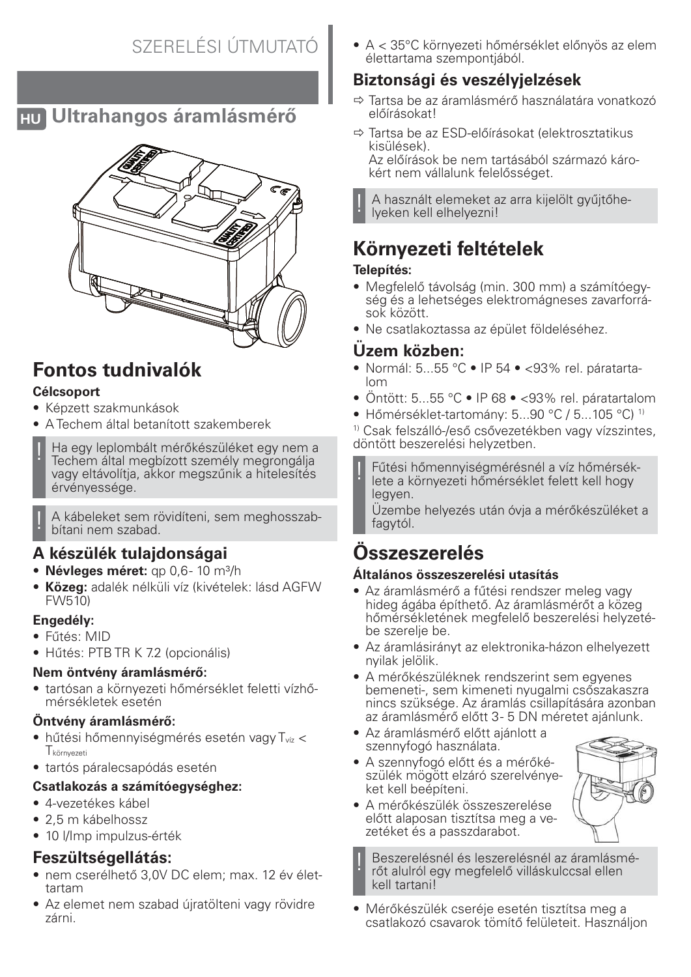## **HU Ultrahangos áramlásmérő**



# **Fontos tudnivalók**

### **Célcsoport**

- Képzett szakmunkások
- A Techem által betanított szakemberek
- Ha egy leplombált mérőkészüléket egy nem a Techem által megbízott személy megrongálja vagy eltávolítja, akkor megszűnik a hitelesítés érvényessége.

! A kábeleket sem rövidíteni, sem meghosszabbítani nem szabad.

## **A készülék tulajdonságai**

- **Névleges méret:** qp 0,6-10 m<sup>3</sup>/h
- **Közeg:** adalék nélküli víz (kivételek: lásd AGFW FW510)

### **Engedély:**

- Fűtés: MID
- Hűtés: PTB TR K 7.2 (opcionális)

### **Nem öntvény áramlásmérő:**

• tartósan a környezeti hőmérséklet feletti vízhőmérsékletek esetén

### **Öntvény áramlásmérő:**

- $\bullet$  hűtési hőmennyiségmérés esetén vagy  $T_{\text{viz}}$  < Tkörnyezeti
- tartós páralecsapódás esetén

### **Csatlakozás a számítóegységhez:**

- 4-vezetékes kábel
- 2,5 m kábelhossz
- 10 l/Imp impulzus-érték

## **Feszültségellátás:**

- nem cserélhető 3,0V DC elem; max. 12 év élettartam
- Az elemet nem szabad újratölteni vagy rövidre zárni.

• A < 35°C környezeti hőmérséklet előnyös az elem élettartama szempontjából.

## **Biztonsági és veszélyjelzések**

- $\Rightarrow$  Tartsa be az áramlásmérő használatára vonatkozó előírásokat!
- $\Rightarrow$  Tartsa be az ESD-előírásokat (elektrosztatikus kisülések).

Az előírások be nem tartásából származó károkért nem vállalunk felelősséget.

! A használt elemeket az arra kijelölt gyűjtőhelyeken kell elhelyezni!

# **Környezeti feltételek**

### **Telepítés:**

- Megfelelő távolság (min. 300 mm) a számítóegység és a lehetséges elektromágneses zavarforrások között.
- Ne csatlakoztassa az épület földeléséhez.

## **Üzem közben:**

- Normál: 5...55 °C IP 54 <93% rel. páratartalom
- Öntött: 5...55 °C IP 68 <93% rel. páratartalom
- Hőmérséklet-tartomány: 5...90 °C / 5...105 °C) 1)

1) Csak felszálló-/eső csővezetékben vagy vízszintes, döntött beszerelési helyzetben.

! Fűtési hőmennyiségmérésnél a víz hőmérséklete a környezeti hőmérséklet felett kell hogy legyen.

Üzembe helyezés után óvja a mérőkészüléket a fagytól.

# **Összeszerelés**

## **Általános összeszerelési utasítás**

- Az áramlásmérő a fűtési rendszer meleg vagy hideg ágába építhető. Az áramlásmérőt a közeg hőmérsékletének megfelelő beszerelési helyzetébe szerelje be.
- Az áramlásirányt az elektronika-házon elhelyezett nyilak jelölik.
- A mérőkészüléknek rendszerint sem egyenes bemeneti-, sem kimeneti nyugalmi csőszakaszra nincs szüksége. Az áramlás csillapítására azonban az áramlásmérő előtt 3 - 5 DN méretet ajánlunk.
- Az áramlásmérő előtt ajánlott a szennyfogó használata.
- A szennyfogó előtt és a mérőkészülék mögött elzáró szerelvényeket kell beépíteni.
- A mérőkészülék összeszerelése előtt alaposan tisztítsa meg a vezetéket és a passzdarabot.

Beszerelésnél és leszerelésnél az áramlásmérőt alulról egy megfelelő villáskulccsal ellen kell tartani!

• Mérőkészülék cseréje esetén tisztítsa meg a csatlakozó csavarok tömítő felületeit. Használjon

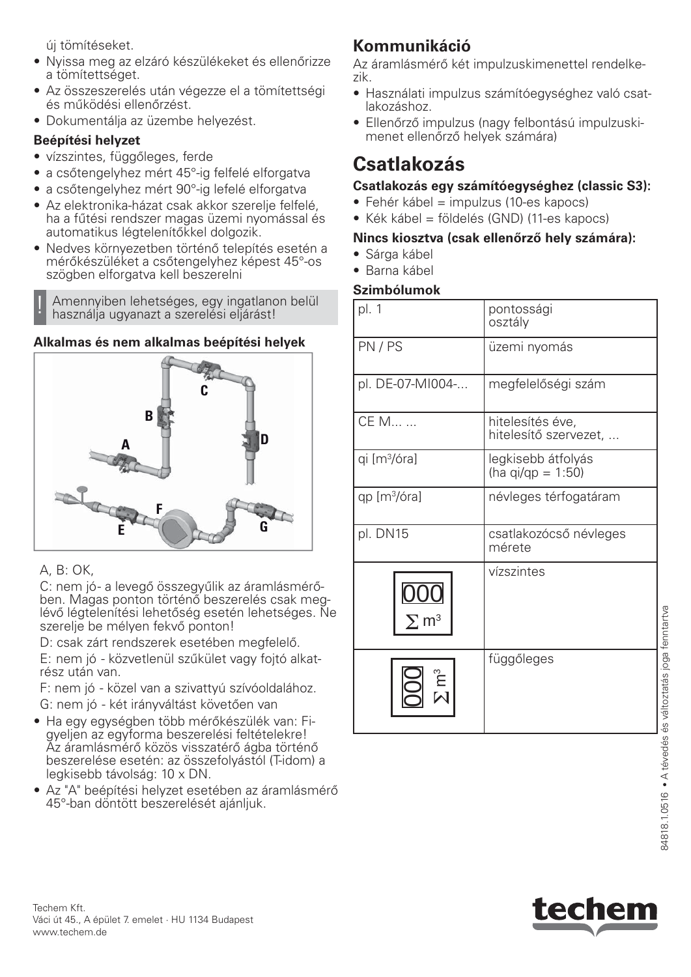új tömítéseket.

- Nyissa meg az elzáró készülékeket és ellenőrizze a tömítettséget.
- Az összeszerelés után végezze el a tömítettségi és működési ellenőrzést.
- Dokumentálja az üzembe helyezést.

### **Beépítési helyzet**

- vízszintes, függőleges, ferde
- a csőtengelyhez mért 45°-ig felfelé elforgatva
- a csőtengelyhez mért 90°-ig lefelé elforgatva
- Az elektronika-házat csak akkor szerelje felfelé, ha a fűtési rendszer magas üzemi nyomással és automatikus légtelenítőkkel dolgozik.
- Nedves környezetben történő telepítés esetén a mérőkészüléket a csőtengelyhez képest 45°-os szögben elforgatva kell beszerelni

Amennyiben lehetséges, egy ingatlanon belül használja ugyanazt a szerelési eljárást!

### **Alkalmas és nem alkalmas beépítési helyek**



### A, B: OK,

C: nem jó - a levegő összegyűlik az áramlásmérőben. Magas ponton történő beszerelés csak meglévő légtelenítési lehetőség esetén lehetséges. Ne szerelje be mélyen fekvő ponton!

D: csak zárt rendszerek esetében megfelelő. E: nem jó - közvetlenül szűkület vagy fojtó alkatrész után van.

F: nem jó - közel van a szivattyú szívóoldalához.

G: nem jó - két irányváltást követően van

- Ha egy egységben több mérőkészülék van: Figyeljen az egyforma beszerelési feltételekre! Az áramlásmérő közös visszatérő ágba történő beszerelése esetén: az összefolyástól (T-idom) a legkisebb távolság: 10 x DN.
- Az "A" beépítési helyzet esetében az áramlásmérő 45°-ban döntött beszerelését ajánljuk.

## **Kommunikáció**

Az áramlásmérő két impulzuskimenettel rendelkezik.

- Használati impulzus számítóegységhez való csatlakozáshoz.
- Ellenőrző impulzus (nagy felbontású impulzuskimenet ellenőrző helyek számára)

## **Csatlakozás**

### **Csatlakozás egy számítóegységhez (classic S3):**

- Fehér kábel = impulzus (10-es kapocs)
- Kék kábel = földelés (GND) (11-es kapocs)

### **Nincs kiosztva (csak ellenőrző hely számára):**

- Sárga kábel
- Barna kábel

### **Szimbólumok**

| pl. 1                    | pontossági<br>osztály                     |
|--------------------------|-------------------------------------------|
| PN/PS                    | üzemi nyomás                              |
| pl. DE-07-MI004-         | megfelelőségi szám                        |
| CE M                     | hitelesítés éve,<br>hitelesítő szervezet, |
| qi [m <sup>3</sup> /óra] | legkisebb átfolyás<br>(ha qi/qp = 1:50)   |
| qp [m <sup>3</sup> /óra] | névleges térfogatáram                     |
| pl. DN15                 | csatlakozócső névleges<br>mérete          |
|                          | vízszintes                                |
|                          | függőleges                                |



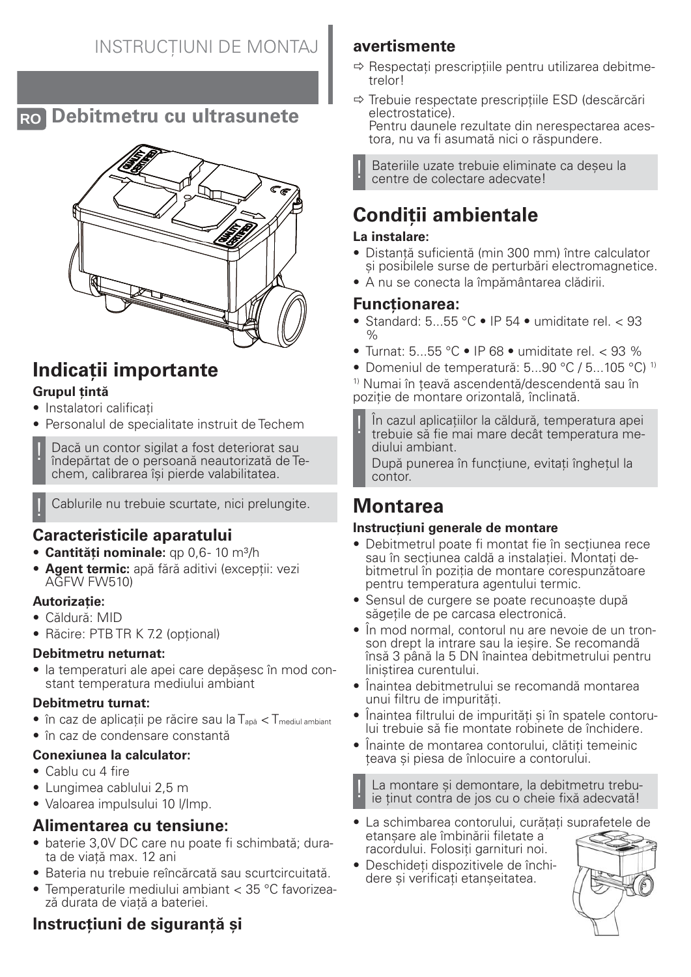## **RO Debitmetru cu ultrasunete**



# **Indicații importante**

### **Grupul țintă**

- Instalatori calificați
- Personalul de specialitate instruit de Techem

Dacă un contor sigilat a fost deteriorat sau îndepărtat de o persoană neautorizată de Techem, calibrarea își pierde valabilitatea.

Cablurile nu trebuie scurtate, nici prelungite.

## **Caracteristicile aparatului**

- **Cantități nominale:** qp 0,6-10 m<sup>3</sup>/h
- **Agent termic:** apă fără aditivi (excepții: vezi AGFW FW510)

### **Autorizație:**

- Căldură: MID
- Răcire: PTB TR K 7.2 (opțional)

### **Debitmetru neturnat:**

• la temperaturi ale apei care depășesc în mod constant temperatura mediului ambiant

### **Debitmetru turnat:**

- $\bullet$  în caz de aplicații pe răcire sau la  $T_{\text{and}}$  <  $T_{\text{medium}}$
- în caz de condensare constantă

### **Conexiunea la calculator:**

- Cablu cu 4 fire
- Lungimea cablului 2,5 m
- Valoarea impulsului 10 l/Imp.

## **Alimentarea cu tensiune:**

- baterie 3,0V DC care nu poate fi schimbată; durata de viață max. 12 ani
- Bateria nu trebuie reîncărcată sau scurtcircuitată.
- Temperaturile mediului ambiant < 35 °C favorizează durata de viață a bateriei.

## **Instrucțiuni de siguranță și**

## **avertismente**

- $\Rightarrow$  Respectați prescripțiile pentru utilizarea debitmetrelor!
- $\Rightarrow$  Trebuie respectate prescripțiile ESD (descărcări electrostatice). Pentru daunele rezultate din nerespectarea acestora, nu va fi asumată nici o răspundere.

Bateriile uzate trebuie eliminate ca deseu la centre de colectare adecvate!

# **Condiții ambientale**

### **La instalare:**

- Distanță suficientă (min 300 mm) între calculator și posibilele surse de perturbări electromagnetice.
- A nu se conecta la împământarea clădirii.

### **Funcționarea:**

- Standard: 5...55 °C IP 54 umiditate rel. < 93  $\frac{1}{2}$
- Turnat: 5...55 °C IP 68 umiditate rel. < 93 %
- Domeniul de temperatură: 5...90 °C / 5...105 °C) 1)

1) Numai în țeavă ascendentă/descendentă sau în poziție de montare orizontală, înclinată.

! În cazul aplicațiilor la căldură, temperatura apei trebuie să fie mai mare decât temperatura mediului ambiant.

După punerea în funcțiune, evitați înghețul la contor.

# **Montarea**

### **Instrucțiuni generale de montare**

- Debitmetrul poate fi montat fie în secțiunea rece sau în secțiunea caldă a instalației. Montați debitmetrul în poziția de montare corespunzătoare pentru temperatura agentului termic.
- Sensul de curgere se poate recunoaște după săgețile de pe carcasa electronică.
- În mod normal, contorul nu are nevoie de un tronson drept la intrare sau la ieșire. Se recomandă însă 3 până la 5 DN înaintea debitmetrului pentru liniștirea curentului.
- Înaintea debitmetrului se recomandă montarea unui filtru de impurități.
- Înaintea filtrului de impurități și în spatele contorului trebuie să fie montate robinete de închidere.
- Înainte de montarea contorului, clătiți temeinic țeava și piesa de înlocuire a contorului.

La montare și demontare, la debitmetru trebuie tinut contra de jos cu o cheie fixă adecvată!

- La schimbarea contorului, curățați suprafețele de etanșare ale îmbinării filetate a racordului. Folosiți garnituri noi.
- Deschideți dispozitivele de închidere și verificați etanșeitatea.

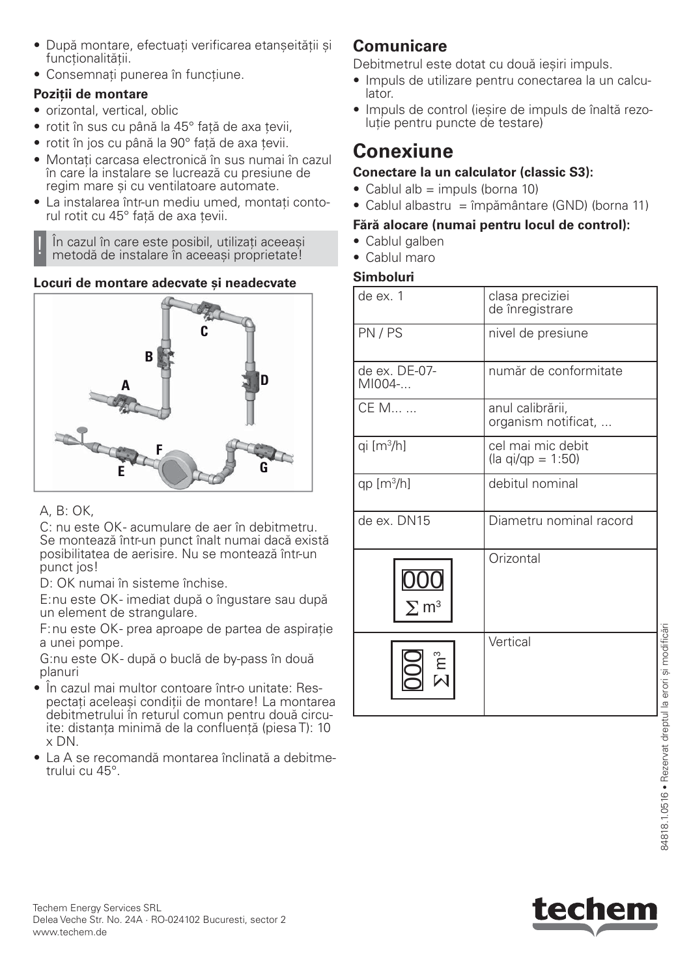- După montare, efectuați verificarea etanșeității și functionalității.
- Consemnați punerea în funcțiune.

## **Poziții de montare**

- orizontal, vertical, oblic
- rotit în sus cu până la 45° față de axa țevii,
- rotit în jos cu până la 90° față de axa țevii.
- Montați carcasa electronică în sus numai în cazul în care la instalare se lucrează cu presiune de regim mare și cu ventilatoare automate.
- La instalarea într-un mediu umed, montați contorul rotit cu 45° față de axa țevii.

În cazul în care este posibil, utilizați aceeași metodă de instalare în aceeași proprietate!

## **Locuri de montare adecvate și neadecvate**



## A, B: OK,

C: nu este OK- acumulare de aer în debitmetru. Se montează într-un punct înalt numai dacă există posibilitatea de aerisire. Nu se montează într-un punct jos!

D: OK numai în sisteme închise.

E: nu este OK - imediat după o îngustare sau după un element de strangulare.

F: nu este OK- prea aproape de partea de aspirație a unei pompe.

G:nu este OK- după o buclă de by-pass în două planuri

- În cazul mai multor contoare într-o unitate: Respectați aceleași condiții de montare! La montarea debitmetrului în returul comun pentru două circuite: distanța minimă de la confluență (piesa T): 10 x DN.
- La A se recomandă montarea înclinată a debitmetrului cu 45°.

## **Comunicare**

Debitmetrul este dotat cu două ieșiri impuls.

- Impuls de utilizare pentru conectarea la un calculator.
- Impuls de control (ieșire de impuls de înaltă rezoluție pentru puncte de testare)

# **Conexiune**

## **Conectare la un calculator (classic S3):**

- $\bullet$  Cablul alb = impuls (borna 10)
- Cablul albastru = împământare (GND) (borna 11)

## **Fără alocare (numai pentru locul de control):**

- Cablul galben
- Cablul maro

## **Simboluri**

| de ex. 1                   | clasa preciziei<br>de înregistrare            |
|----------------------------|-----------------------------------------------|
| PN/PS                      | nivel de presiune                             |
| de ex. DE-07-<br>$MIO04-.$ | număr de conformitate                         |
| CE M                       | anul calibrării,<br>organism notificat,       |
| qi [m <sup>3</sup> /h]     | cel mai mic debit<br>$\eta$ (la qi/qp = 1:50) |
| qp $[m3/h]$                | debitul nominal                               |
| de ex. DN15                | Diametru nominal racord                       |
| $\Sigma$ . m <sup>3</sup>  | Orizontal                                     |
|                            | Vertical                                      |

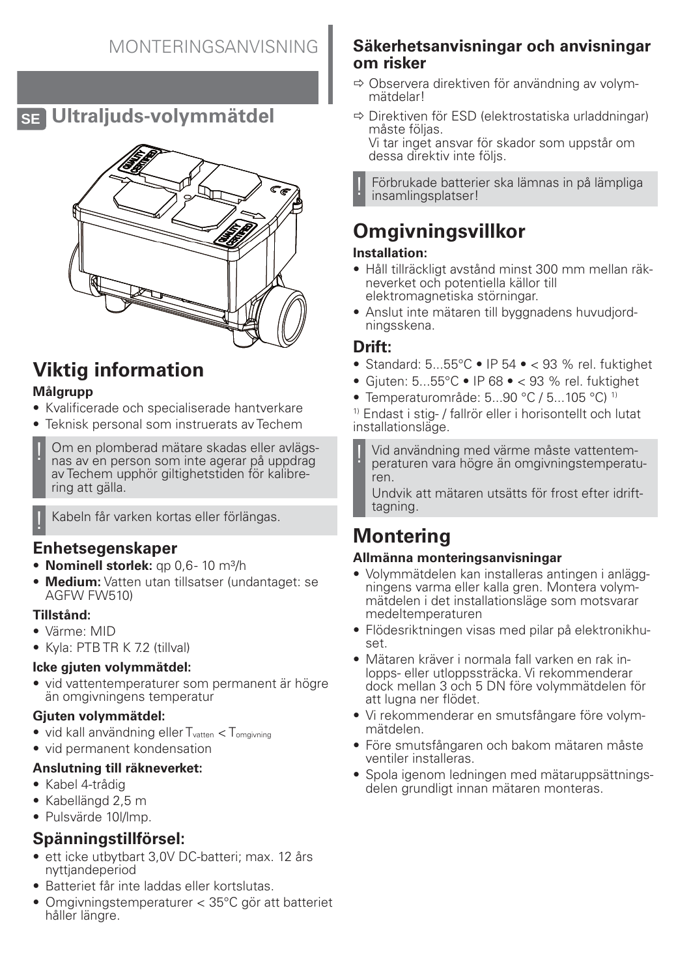## **SE Ultraljuds-volymmätdel**



# **Viktig information**

### **Målgrupp**

- Kvalificerade och specialiserade hantverkare
- Teknisk personal som instruerats av Techem
- Om en plomberad mätare skadas eller avlägsnas av en person som inte agerar på uppdrag av Techem upphör giltighetstiden för kalibrering att gälla.

### **Enhetsegenskaper**

- **Nominell storlek:** qp 0.6-10 m<sup>3</sup>/h
- **Medium:** Vatten utan tillsatser (undantaget: se AGFW FW510)

#### **Tillstånd:**

- Värme: MID
- Kyla: PTB TR K 7.2 (tillval)

### **Icke gjuten volymmätdel:**

• vid vattentemperaturer som permanent är högre än omgivningens temperatur

### **Gjuten volymmätdel:**

- vid kall användning eller  $T_{\text{vatten}} < T_{\text{omdivning}}$
- vid permanent kondensation

#### **Anslutning till räkneverket:**

- Kabel 4-trådig
- Kabellängd 2,5 m
- Pulsvärde 10l/lmp.

## **Spänningstillförsel:**

- ett icke utbytbart 3,0V DC-batteri; max. 12 års nyttjandeperiod
- Batteriet får inte laddas eller kortslutas.
- Omgivningstemperaturer < 35°C gör att batteriet håller längre.

### **Säkerhetsanvisningar och anvisningar om risker**

- $\Rightarrow$  Observera direktiven för användning av volymmätdelar!
- $\Rightarrow$  Direktiven för ESD (elektrostatiska urladdningar) måste följas. Vi tar inget ansvar för skador som uppstår om dessa direktiv inte följs.

! Förbrukade batterier ska lämnas in på lämpliga insamlingsplatser!

# **Omgivningsvillkor**

### **Installation:**

- Håll tillräckligt avstånd minst 300 mm mellan räkneverket och potentiella källor till elektromagnetiska störningar.
- Anslut inte mätaren till byggnadens huvudjordningsskena.

### **Drift:**

- Standard:  $5...55^{\circ}$ C IP  $54 \bullet < 93$  % rel. fuktighet
- Gjuten: 5...55°C IP 68 < 93 % rel. fuktighet
- Temperaturområde: 5...90 °C / 5...105 °C) 1)

1) Endast i stig- / fallrör eller i horisontellt och lutat installationsläge.

Vid användning med värme måste vattentemperaturen vara högre än omgivningstemperaturen.

Undvik att mätaren utsätts för frost efter idrifttagning.

# **Montering**

### **Allmänna monteringsanvisningar**

- Volymmätdelen kan installeras antingen i anläggningens varma eller kalla gren. Montera volymmätdelen i det installationsläge som motsvarar medeltemperaturen
- Flödesriktningen visas med pilar på elektronikhuset.
- Mätaren kräver i normala fall varken en rak inlopps- eller utloppssträcka. Vi rekommenderar dock mellan 3 och 5 DN före volymmätdelen för att lugna ner flödet.
- Vi rekommenderar en smutsfångare före volymmätdelen.
- Före smutsfångaren och bakom mätaren måste ventiler installeras.
- Spola igenom ledningen med mätaruppsättningsdelen grundligt innan mätaren monteras.

<sup>!</sup> Kabeln får varken kortas eller förlängas.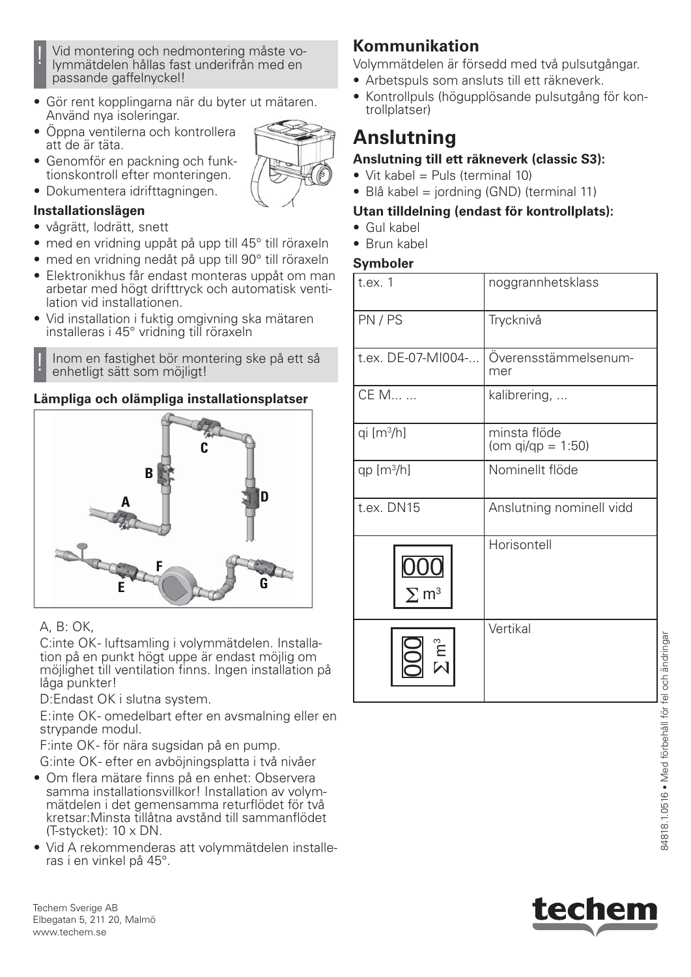- ! Vid montering och nedmontering måste vo-lymmätdelen hållas fast underifrån med en passande gaffelnyckel!
- Gör rent kopplingarna när du byter ut mätaren. Använd nya isoleringar.
- Öppna ventilerna och kontrollera att de är täta.
- Genomför en packning och funktionskontroll efter monteringen.
- Dokumentera idrifttagningen.

### **Installationslägen**

- vågrätt, lodrätt, snett
- med en vridning uppåt på upp till 45° till röraxeln
- med en vridning nedåt på upp till 90° till röraxeln
- Elektronikhus får endast monteras uppåt om man arbetar med högt drifttryck och automatisk ventilation vid installationen.
- Vid installation i fuktig omgivning ska mätaren installeras i 45° vridning till röraxeln

! Inom en fastighet bör montering ske på ett så enhetligt sätt som möjligt!

### **Lämpliga och olämpliga installationsplatser**



### A, B: OK,

C: inte OK - luftsamling i volymmätdelen. Installation på en punkt högt uppe är endast möjlig om möjlighet till ventilation finns. Ingen installation på låga punkter!

D:Endast OK i slutna system.

E: inte OK- omedelbart efter en avsmalning eller en strypande modul.

F: inte OK - för nära sugsidan på en pump.

G:inte OK - efter en avböjningsplatta i två nivåer

- Om flera mätare finns på en enhet: Observera samma installationsvillkor! Installation av volymmätdelen i det gemensamma returflödet för två kretsar:Minsta tillåtna avstånd till sammanflödet (T-stycket): 10 x DN.
- Vid A rekommenderas att volymmätdelen installeras i en vinkel på 45°.

#### Techem Sverige AB Elbegatan 5, 211 20, Malmö www.techem.se

## **Kommunikation**

Volymmätdelen är försedd med två pulsutgångar.

- Arbetspuls som ansluts till ett räkneverk.
- Kontrollpuls (högupplösande pulsutgång för kontrollplatser)

# **Anslutning**

### **Anslutning till ett räkneverk (classic S3):**

- Vit kabel = Puls (terminal 10)
- Blå kabel = jordning (GND) (terminal 11)

### **Utan tilldelning (endast för kontrollplats):**

- Gul kabel
- Brun kabel

#### **Symboler**

| t.ex. 1                 | noggrannhetsklass                    |
|-------------------------|--------------------------------------|
| PN/PS                   | Trycknivå                            |
| t.ex. DE-07-MI004-      | Överensstämmelsenum-<br>mer          |
| CE M                    | kalibrering,                         |
| qi [m <sup>3</sup> /h]  | minsta flöde<br>(om $qi/qp = 1:50$ ) |
| $qp [m^3/h]$            | Nominellt flöde                      |
| t.ex. DN15              | Anslutning nominell vidd             |
| $\Sigma$ m <sup>3</sup> | Horisontell                          |
|                         | Vertikal                             |